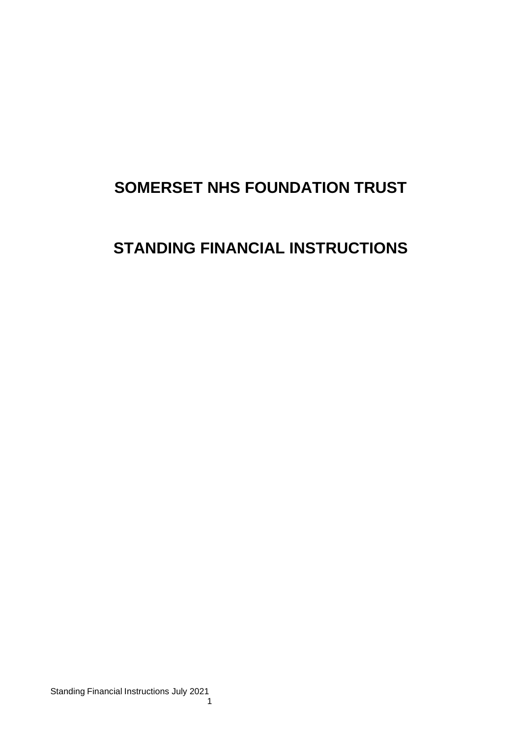# **SOMERSET NHS FOUNDATION TRUST**

# **STANDING FINANCIAL INSTRUCTIONS**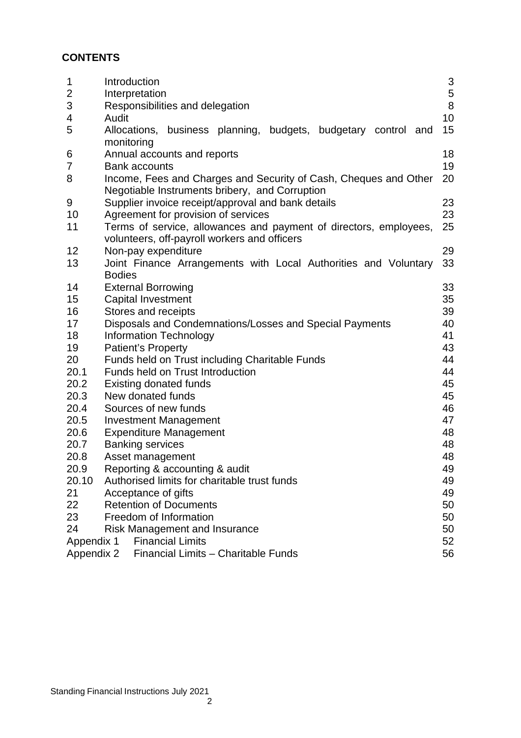# **CONTENTS**

| 1<br>$\overline{2}$<br>3<br>4<br>5          | Introduction<br>Interpretation<br>Responsibilities and delegation<br>Audit<br>Allocations, business planning, budgets, budgetary control and             | $\mathsf 3$<br>5<br>8<br>10<br>15 |  |
|---------------------------------------------|----------------------------------------------------------------------------------------------------------------------------------------------------------|-----------------------------------|--|
| 6<br>7                                      | monitoring<br>Annual accounts and reports<br><b>Bank accounts</b>                                                                                        | 18<br>19                          |  |
| 8                                           | Income, Fees and Charges and Security of Cash, Cheques and Other<br>Negotiable Instruments bribery, and Corruption                                       | 20                                |  |
| 9                                           | Supplier invoice receipt/approval and bank details                                                                                                       | 23                                |  |
| 10<br>11                                    | Agreement for provision of services<br>Terms of service, allowances and payment of directors, employees,<br>volunteers, off-payroll workers and officers | 23<br>25                          |  |
| 12                                          | Non-pay expenditure                                                                                                                                      | 29                                |  |
| 13                                          | Joint Finance Arrangements with Local Authorities and Voluntary                                                                                          | 33                                |  |
|                                             | <b>Bodies</b>                                                                                                                                            |                                   |  |
| 14                                          | <b>External Borrowing</b>                                                                                                                                | 33                                |  |
| 15                                          | 35<br><b>Capital Investment</b>                                                                                                                          |                                   |  |
| 16                                          | 39<br>Stores and receipts                                                                                                                                |                                   |  |
| 17                                          | 40<br>Disposals and Condemnations/Losses and Special Payments                                                                                            |                                   |  |
| 18                                          | 41<br><b>Information Technology</b>                                                                                                                      |                                   |  |
| 19                                          | 43<br><b>Patient's Property</b>                                                                                                                          |                                   |  |
| 20                                          | Funds held on Trust including Charitable Funds<br>44                                                                                                     |                                   |  |
| 20.1                                        | 44<br>Funds held on Trust Introduction                                                                                                                   |                                   |  |
| 20.2                                        | 45<br><b>Existing donated funds</b>                                                                                                                      |                                   |  |
| 20.3                                        | New donated funds                                                                                                                                        | 45                                |  |
| 20.4                                        | Sources of new funds                                                                                                                                     | 46                                |  |
| 20.5                                        | 47<br><b>Investment Management</b>                                                                                                                       |                                   |  |
| 20.6                                        | <b>Expenditure Management</b>                                                                                                                            | 48                                |  |
| 20.7                                        | <b>Banking services</b>                                                                                                                                  | 48                                |  |
| 20.8                                        | 48<br>Asset management                                                                                                                                   |                                   |  |
| 20.9                                        | Reporting & accounting & audit<br>49                                                                                                                     |                                   |  |
| 20.10                                       | Authorised limits for charitable trust funds<br>49                                                                                                       |                                   |  |
| 21                                          | Acceptance of gifts<br>49                                                                                                                                |                                   |  |
| 22                                          | <b>Retention of Documents</b><br>50                                                                                                                      |                                   |  |
| 23                                          | Freedom of Information                                                                                                                                   | 50                                |  |
| 24                                          | <b>Risk Management and Insurance</b>                                                                                                                     | 50                                |  |
| <b>Financial Limits</b><br>52<br>Appendix 1 |                                                                                                                                                          |                                   |  |
| Appendix 2                                  | Financial Limits - Charitable Funds                                                                                                                      | 56                                |  |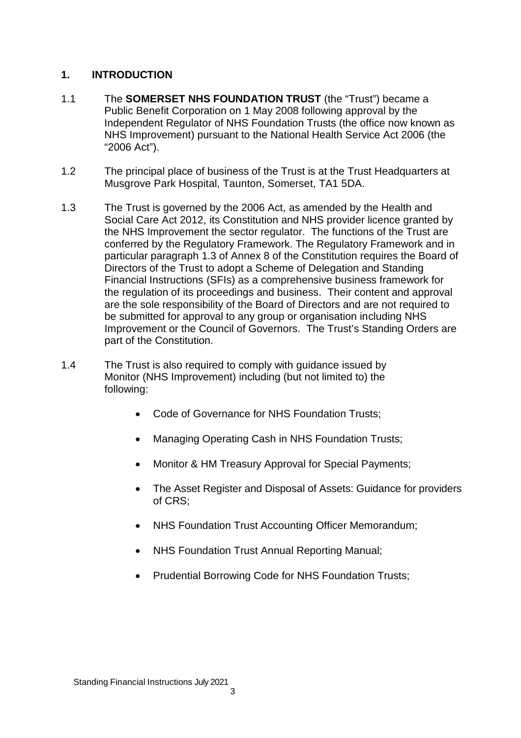# **1. INTRODUCTION**

- 1.1 The **SOMERSET NHS FOUNDATION TRUST** (the "Trust") became a Public Benefit Corporation on 1 May 2008 following approval by the Independent Regulator of NHS Foundation Trusts (the office now known as NHS Improvement) pursuant to the National Health Service Act 2006 (the "2006 Act").
- 1.2 The principal place of business of the Trust is at the Trust Headquarters at Musgrove Park Hospital, Taunton, Somerset, TA1 5DA.
- 1.3 The Trust is governed by the 2006 Act, as amended by the Health and Social Care Act 2012, its Constitution and NHS provider licence granted by the NHS Improvement the sector regulator. The functions of the Trust are conferred by the Regulatory Framework. The Regulatory Framework and in particular paragraph 1.3 of Annex 8 of the Constitution requires the Board of Directors of the Trust to adopt a Scheme of Delegation and Standing Financial Instructions (SFIs) as a comprehensive business framework for the regulation of its proceedings and business. Their content and approval are the sole responsibility of the Board of Directors and are not required to be submitted for approval to any group or organisation including NHS Improvement or the Council of Governors. The Trust's Standing Orders are part of the Constitution.
- 1.4 The Trust is also required to comply with guidance issued by Monitor (NHS Improvement) including (but not limited to) the following:
	- Code of Governance for NHS Foundation Trusts;
	- Managing Operating Cash in NHS Foundation Trusts;
	- Monitor & HM Treasury Approval for Special Payments;
	- The Asset Register and Disposal of Assets: Guidance for providers of CRS;
	- NHS Foundation Trust Accounting Officer Memorandum:
	- NHS Foundation Trust Annual Reporting Manual;
	- Prudential Borrowing Code for NHS Foundation Trusts;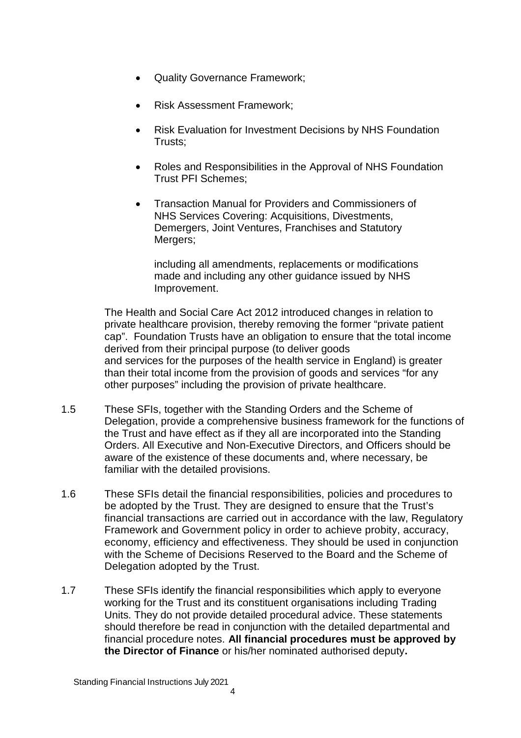- Quality Governance Framework;
- Risk Assessment Framework;
- Risk Evaluation for Investment Decisions by NHS Foundation Trusts;
- Roles and Responsibilities in the Approval of NHS Foundation Trust PFI Schemes;
- Transaction Manual for Providers and Commissioners of NHS Services Covering: Acquisitions, Divestments, Demergers, Joint Ventures, Franchises and Statutory Mergers;

including all amendments, replacements or modifications made and including any other guidance issued by NHS Improvement.

The Health and Social Care Act 2012 introduced changes in relation to private healthcare provision, thereby removing the former "private patient cap". Foundation Trusts have an obligation to ensure that the total income derived from their principal purpose (to deliver goods and services for the purposes of the health service in England) is greater than their total income from the provision of goods and services "for any other purposes" including the provision of private healthcare.

- 1.5 These SFIs, together with the Standing Orders and the Scheme of Delegation, provide a comprehensive business framework for the functions of the Trust and have effect as if they all are incorporated into the Standing Orders. All Executive and Non-Executive Directors, and Officers should be aware of the existence of these documents and, where necessary, be familiar with the detailed provisions.
- 1.6 These SFIs detail the financial responsibilities, policies and procedures to be adopted by the Trust. They are designed to ensure that the Trust's financial transactions are carried out in accordance with the law, Regulatory Framework and Government policy in order to achieve probity, accuracy, economy, efficiency and effectiveness. They should be used in conjunction with the Scheme of Decisions Reserved to the Board and the Scheme of Delegation adopted by the Trust.
- 1.7 These SFIs identify the financial responsibilities which apply to everyone working for the Trust and its constituent organisations including Trading Units. They do not provide detailed procedural advice. These statements should therefore be read in conjunction with the detailed departmental and financial procedure notes. **All financial procedures must be approved by the Director of Finance** or his/her nominated authorised deputy**.**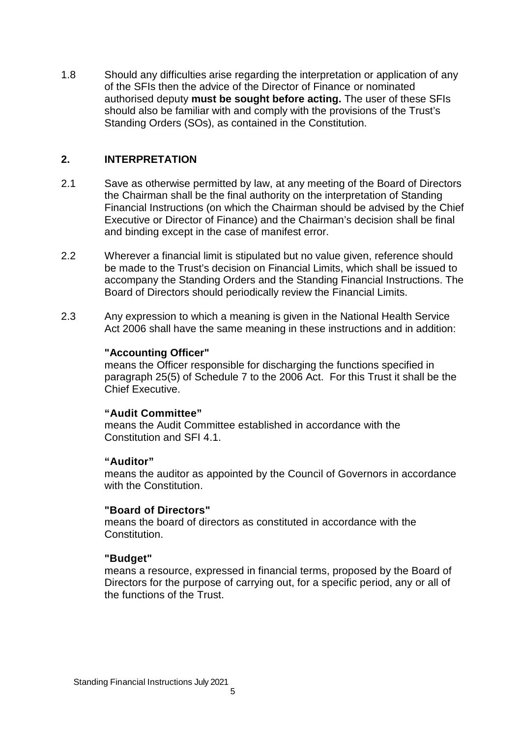1.8 Should any difficulties arise regarding the interpretation or application of any of the SFIs then the advice of the Director of Finance or nominated authorised deputy **must be sought before acting.** The user of these SFIs should also be familiar with and comply with the provisions of the Trust's Standing Orders (SOs), as contained in the Constitution.

## **2. INTERPRETATION**

- 2.1 Save as otherwise permitted by law, at any meeting of the Board of Directors the Chairman shall be the final authority on the interpretation of Standing Financial Instructions (on which the Chairman should be advised by the Chief Executive or Director of Finance) and the Chairman's decision shall be final and binding except in the case of manifest error.
- 2.2 Wherever a financial limit is stipulated but no value given, reference should be made to the Trust's decision on Financial Limits, which shall be issued to accompany the Standing Orders and the Standing Financial Instructions. The Board of Directors should periodically review the Financial Limits.
- 2.3 Any expression to which a meaning is given in the National Health Service Act 2006 shall have the same meaning in these instructions and in addition:

## **"Accounting Officer"**

means the Officer responsible for discharging the functions specified in paragraph 25(5) of Schedule 7 to the 2006 Act. For this Trust it shall be the Chief Executive.

#### **"Audit Committee"**

means the Audit Committee established in accordance with the Constitution and SFI 4.1.

#### **"Auditor"**

means the auditor as appointed by the Council of Governors in accordance with the Constitution.

#### **"Board of Directors"**

means the board of directors as constituted in accordance with the **Constitution** 

#### **"Budget"**

means a resource, expressed in financial terms, proposed by the Board of Directors for the purpose of carrying out, for a specific period, any or all of the functions of the Trust.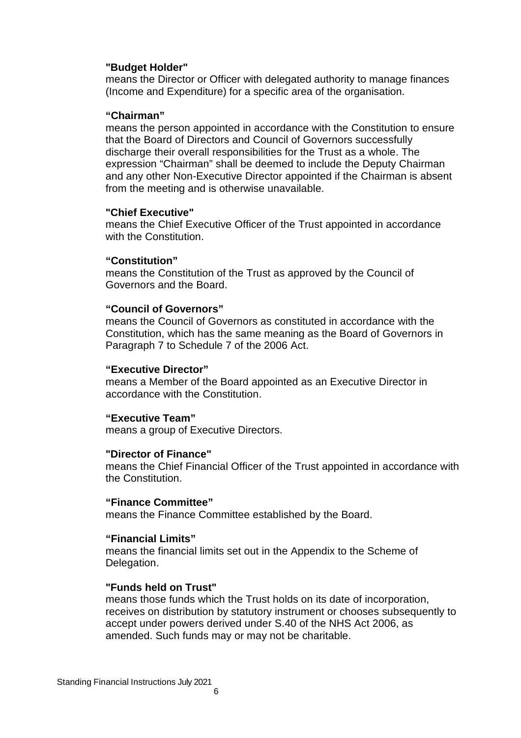#### **"Budget Holder"**

means the Director or Officer with delegated authority to manage finances (Income and Expenditure) for a specific area of the organisation.

#### **"Chairman"**

means the person appointed in accordance with the Constitution to ensure that the Board of Directors and Council of Governors successfully discharge their overall responsibilities for the Trust as a whole. The expression "Chairman" shall be deemed to include the Deputy Chairman and any other Non-Executive Director appointed if the Chairman is absent from the meeting and is otherwise unavailable.

#### **"Chief Executive"**

means the Chief Executive Officer of the Trust appointed in accordance with the Constitution.

#### **"Constitution"**

means the Constitution of the Trust as approved by the Council of Governors and the Board.

#### **"Council of Governors"**

means the Council of Governors as constituted in accordance with the Constitution, which has the same meaning as the Board of Governors in Paragraph 7 to Schedule 7 of the 2006 Act.

#### **"Executive Director"**

means a Member of the Board appointed as an Executive Director in accordance with the Constitution.

#### **"Executive Team"**

means a group of Executive Directors.

#### **"Director of Finance"**

means the Chief Financial Officer of the Trust appointed in accordance with the Constitution.

#### **"Finance Committee"**

means the Finance Committee established by the Board.

#### **"Financial Limits"**

means the financial limits set out in the Appendix to the Scheme of Delegation.

#### **"Funds held on Trust"**

means those funds which the Trust holds on its date of incorporation, receives on distribution by statutory instrument or chooses subsequently to accept under powers derived under S.40 of the NHS Act 2006, as amended. Such funds may or may not be charitable.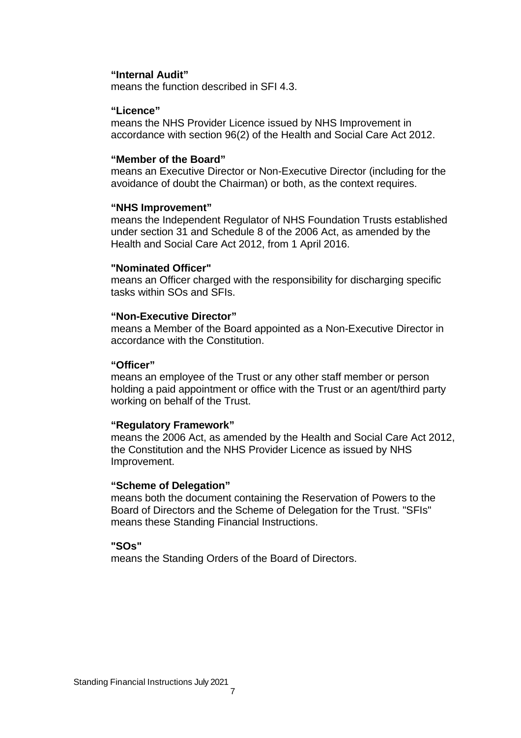#### **"Internal Audit"**

means the function described in SFI 4.3.

#### **"Licence"**

means the NHS Provider Licence issued by NHS Improvement in accordance with section 96(2) of the Health and Social Care Act 2012.

#### **"Member of the Board"**

means an Executive Director or Non-Executive Director (including for the avoidance of doubt the Chairman) or both, as the context requires.

#### **"NHS Improvement"**

means the Independent Regulator of NHS Foundation Trusts established under section 31 and Schedule 8 of the 2006 Act, as amended by the Health and Social Care Act 2012, from 1 April 2016.

#### **"Nominated Officer"**

means an Officer charged with the responsibility for discharging specific tasks within SOs and SFIs.

#### **"Non-Executive Director"**

means a Member of the Board appointed as a Non-Executive Director in accordance with the Constitution.

#### **"Officer"**

means an employee of the Trust or any other staff member or person holding a paid appointment or office with the Trust or an agent/third party working on behalf of the Trust.

#### **"Regulatory Framework"**

means the 2006 Act, as amended by the Health and Social Care Act 2012, the Constitution and the NHS Provider Licence as issued by NHS Improvement.

#### **"Scheme of Delegation"**

means both the document containing the Reservation of Powers to the Board of Directors and the Scheme of Delegation for the Trust. "SFIs" means these Standing Financial Instructions.

#### **"SOs"**

means the Standing Orders of the Board of Directors.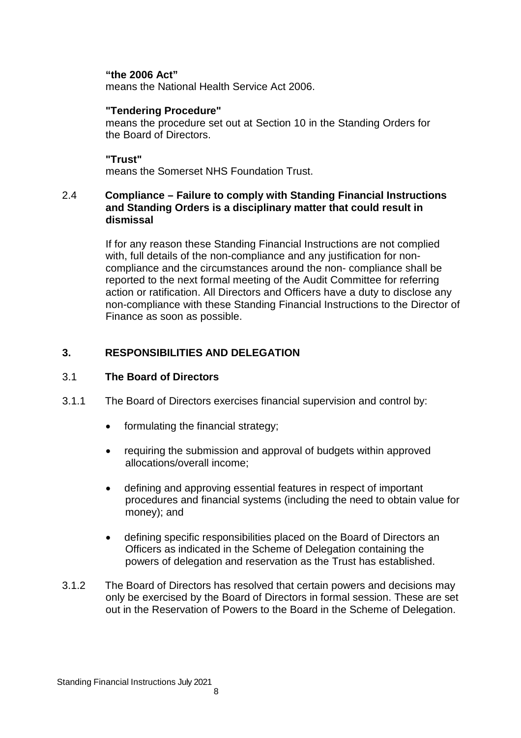#### **"the 2006 Act"**

means the National Health Service Act 2006.

#### **"Tendering Procedure"**

means the procedure set out at Section 10 in the Standing Orders for the Board of Directors.

## **"Trust"**

means the Somerset NHS Foundation Trust.

#### 2.4 **Compliance – Failure to comply with Standing Financial Instructions and Standing Orders is a disciplinary matter that could result in dismissal**

If for any reason these Standing Financial Instructions are not complied with, full details of the non-compliance and any justification for noncompliance and the circumstances around the non- compliance shall be reported to the next formal meeting of the Audit Committee for referring action or ratification. All Directors and Officers have a duty to disclose any non-compliance with these Standing Financial Instructions to the Director of Finance as soon as possible.

# **3. RESPONSIBILITIES AND DELEGATION**

#### 3.1 **The Board of Directors**

- 3.1.1 The Board of Directors exercises financial supervision and control by:
	- formulating the financial strategy;
	- requiring the submission and approval of budgets within approved allocations/overall income;
	- defining and approving essential features in respect of important procedures and financial systems (including the need to obtain value for money); and
	- defining specific responsibilities placed on the Board of Directors an Officers as indicated in the Scheme of Delegation containing the powers of delegation and reservation as the Trust has established.
- 3.1.2 The Board of Directors has resolved that certain powers and decisions may only be exercised by the Board of Directors in formal session. These are set out in the Reservation of Powers to the Board in the Scheme of Delegation.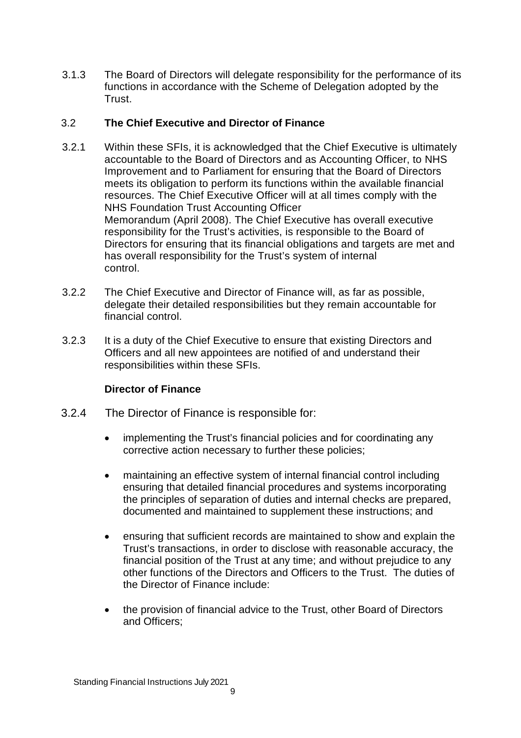3.1.3 The Board of Directors will delegate responsibility for the performance of its functions in accordance with the Scheme of Delegation adopted by the Trust.

# 3.2 **The Chief Executive and Director of Finance**

- 3.2.1 Within these SFIs, it is acknowledged that the Chief Executive is ultimately accountable to the Board of Directors and as Accounting Officer, to NHS Improvement and to Parliament for ensuring that the Board of Directors meets its obligation to perform its functions within the available financial resources. The Chief Executive Officer will at all times comply with the NHS Foundation Trust Accounting Officer Memorandum (April 2008). The Chief Executive has overall executive responsibility for the Trust's activities, is responsible to the Board of Directors for ensuring that its financial obligations and targets are met and has overall responsibility for the Trust's system of internal control.
- 3.2.2 The Chief Executive and Director of Finance will, as far as possible, delegate their detailed responsibilities but they remain accountable for financial control.
- 3.2.3 It is a duty of the Chief Executive to ensure that existing Directors and Officers and all new appointees are notified of and understand their responsibilities within these SFIs.

# **Director of Finance**

- 3.2.4 The Director of Finance is responsible for:
	- implementing the Trust's financial policies and for coordinating any corrective action necessary to further these policies;
	- maintaining an effective system of internal financial control including ensuring that detailed financial procedures and systems incorporating the principles of separation of duties and internal checks are prepared, documented and maintained to supplement these instructions; and
	- ensuring that sufficient records are maintained to show and explain the Trust's transactions, in order to disclose with reasonable accuracy, the financial position of the Trust at any time; and without prejudice to any other functions of the Directors and Officers to the Trust. The duties of the Director of Finance include:
	- the provision of financial advice to the Trust, other Board of Directors and Officers;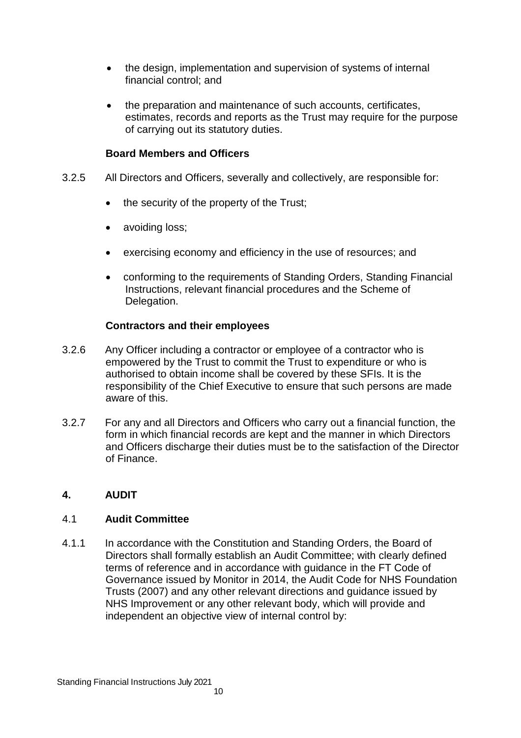- the design, implementation and supervision of systems of internal financial control; and
- the preparation and maintenance of such accounts, certificates, estimates, records and reports as the Trust may require for the purpose of carrying out its statutory duties.

## **Board Members and Officers**

- 3.2.5 All Directors and Officers, severally and collectively, are responsible for:
	- $\bullet$  the security of the property of the Trust;
	- avoiding loss;
	- exercising economy and efficiency in the use of resources; and
	- conforming to the requirements of Standing Orders, Standing Financial Instructions, relevant financial procedures and the Scheme of Delegation.

## **Contractors and their employees**

- 3.2.6 Any Officer including a contractor or employee of a contractor who is empowered by the Trust to commit the Trust to expenditure or who is authorised to obtain income shall be covered by these SFIs. It is the responsibility of the Chief Executive to ensure that such persons are made aware of this.
- 3.2.7 For any and all Directors and Officers who carry out a financial function, the form in which financial records are kept and the manner in which Directors and Officers discharge their duties must be to the satisfaction of the Director of Finance.

#### **4. AUDIT**

#### 4.1 **Audit Committee**

4.1.1 In accordance with the Constitution and Standing Orders, the Board of Directors shall formally establish an Audit Committee; with clearly defined terms of reference and in accordance with guidance in the FT Code of Governance issued by Monitor in 2014, the Audit Code for NHS Foundation Trusts (2007) and any other relevant directions and guidance issued by NHS Improvement or any other relevant body, which will provide and independent an objective view of internal control by: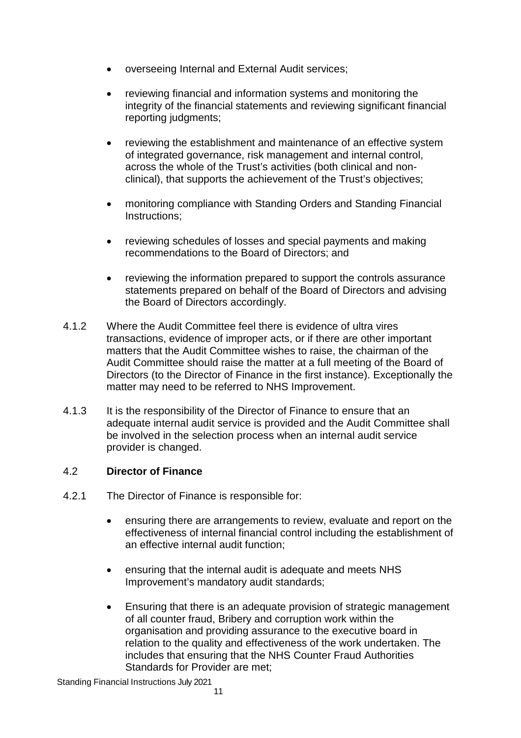- overseeing Internal and External Audit services;
- reviewing financial and information systems and monitoring the integrity of the financial statements and reviewing significant financial reporting judgments;
- reviewing the establishment and maintenance of an effective system of integrated governance, risk management and internal control, across the whole of the Trust's activities (both clinical and nonclinical), that supports the achievement of the Trust's objectives;
- monitoring compliance with Standing Orders and Standing Financial Instructions;
- reviewing schedules of losses and special payments and making recommendations to the Board of Directors; and
- reviewing the information prepared to support the controls assurance statements prepared on behalf of the Board of Directors and advising the Board of Directors accordingly.
- 4.1.2 Where the Audit Committee feel there is evidence of ultra vires transactions, evidence of improper acts, or if there are other important matters that the Audit Committee wishes to raise, the chairman of the Audit Committee should raise the matter at a full meeting of the Board of Directors (to the Director of Finance in the first instance). Exceptionally the matter may need to be referred to NHS Improvement.
- 4.1.3 It is the responsibility of the Director of Finance to ensure that an adequate internal audit service is provided and the Audit Committee shall be involved in the selection process when an internal audit service provider is changed.

#### 4.2 **Director of Finance**

- 4.2.1 The Director of Finance is responsible for:
	- ensuring there are arrangements to review, evaluate and report on the effectiveness of internal financial control including the establishment of an effective internal audit function;
	- ensuring that the internal audit is adequate and meets NHS Improvement's mandatory audit standards;
	- Ensuring that there is an adequate provision of strategic management of all counter fraud, Bribery and corruption work within the organisation and providing assurance to the executive board in relation to the quality and effectiveness of the work undertaken. The includes that ensuring that the NHS Counter Fraud Authorities Standards for Provider are met;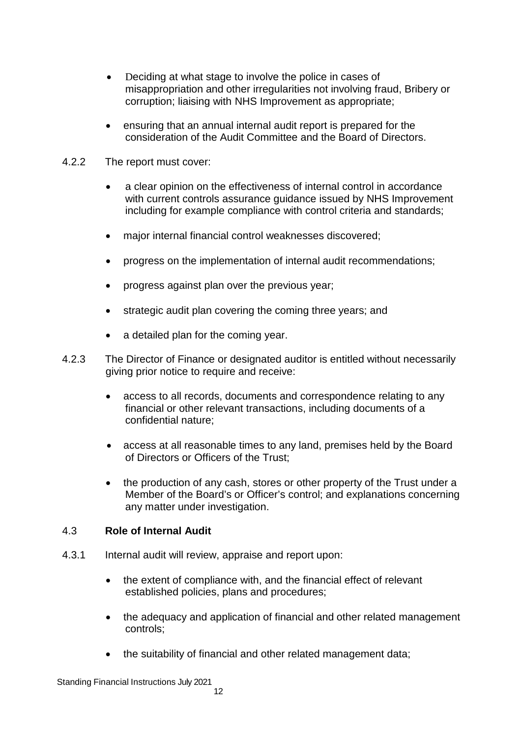- Deciding at what stage to involve the police in cases of misappropriation and other irregularities not involving fraud, Bribery or corruption; liaising with NHS Improvement as appropriate;
- ensuring that an annual internal audit report is prepared for the consideration of the Audit Committee and the Board of Directors.
- 4.2.2 The report must cover:
	- a clear opinion on the effectiveness of internal control in accordance with current controls assurance guidance issued by NHS Improvement including for example compliance with control criteria and standards;
	- major internal financial control weaknesses discovered;
	- progress on the implementation of internal audit recommendations;
	- progress against plan over the previous year;
	- strategic audit plan covering the coming three years; and
	- a detailed plan for the coming year.
- 4.2.3 The Director of Finance or designated auditor is entitled without necessarily giving prior notice to require and receive:
	- access to all records, documents and correspondence relating to any financial or other relevant transactions, including documents of a confidential nature;
	- access at all reasonable times to any land, premises held by the Board of Directors or Officers of the Trust;
	- the production of any cash, stores or other property of the Trust under a Member of the Board's or Officer's control; and explanations concerning any matter under investigation.

#### 4.3 **Role of Internal Audit**

- 4.3.1 Internal audit will review, appraise and report upon:
	- the extent of compliance with, and the financial effect of relevant established policies, plans and procedures;
	- the adequacy and application of financial and other related management controls;
	- the suitability of financial and other related management data;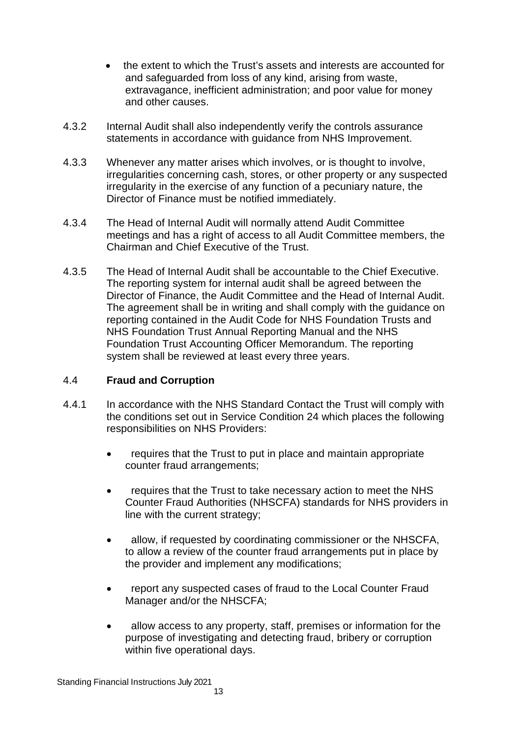- the extent to which the Trust's assets and interests are accounted for and safeguarded from loss of any kind, arising from waste, extravagance, inefficient administration; and poor value for money and other causes.
- 4.3.2 Internal Audit shall also independently verify the controls assurance statements in accordance with guidance from NHS Improvement.
- 4.3.3 Whenever any matter arises which involves, or is thought to involve, irregularities concerning cash, stores, or other property or any suspected irregularity in the exercise of any function of a pecuniary nature, the Director of Finance must be notified immediately.
- 4.3.4 The Head of Internal Audit will normally attend Audit Committee meetings and has a right of access to all Audit Committee members, the Chairman and Chief Executive of the Trust.
- 4.3.5 The Head of Internal Audit shall be accountable to the Chief Executive. The reporting system for internal audit shall be agreed between the Director of Finance, the Audit Committee and the Head of Internal Audit. The agreement shall be in writing and shall comply with the guidance on reporting contained in the Audit Code for NHS Foundation Trusts and NHS Foundation Trust Annual Reporting Manual and the NHS Foundation Trust Accounting Officer Memorandum. The reporting system shall be reviewed at least every three years.

# 4.4 **Fraud and Corruption**

- 4.4.1 In accordance with the NHS Standard Contact the Trust will comply with the conditions set out in Service Condition 24 which places the following responsibilities on NHS Providers:
	- requires that the Trust to put in place and maintain appropriate counter fraud arrangements;
	- requires that the Trust to take necessary action to meet the NHS Counter Fraud Authorities (NHSCFA) standards for NHS providers in line with the current strategy;
	- allow, if requested by coordinating commissioner or the NHSCFA, to allow a review of the counter fraud arrangements put in place by the provider and implement any modifications;
	- report any suspected cases of fraud to the Local Counter Fraud Manager and/or the NHSCFA;
	- allow access to any property, staff, premises or information for the purpose of investigating and detecting fraud, bribery or corruption within five operational days.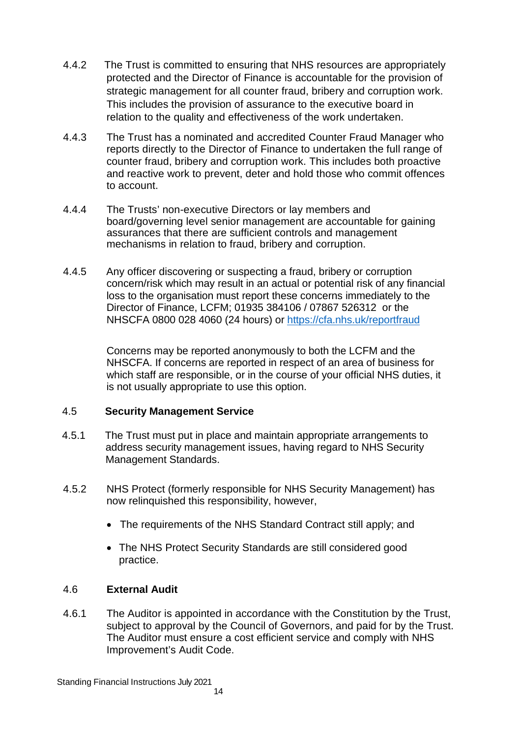- 4.4.2 The Trust is committed to ensuring that NHS resources are appropriately protected and the Director of Finance is accountable for the provision of strategic management for all counter fraud, bribery and corruption work. This includes the provision of assurance to the executive board in relation to the quality and effectiveness of the work undertaken.
- 4.4.3 The Trust has a nominated and accredited Counter Fraud Manager who reports directly to the Director of Finance to undertaken the full range of counter fraud, bribery and corruption work. This includes both proactive and reactive work to prevent, deter and hold those who commit offences to account.
- 4.4.4 The Trusts' non-executive Directors or lay members and board/governing level senior management are accountable for gaining assurances that there are sufficient controls and management mechanisms in relation to fraud, bribery and corruption.
- 4.4.5 Any officer discovering or suspecting a fraud, bribery or corruption concern/risk which may result in an actual or potential risk of any financial loss to the organisation must report these concerns immediately to the Director of Finance, LCFM; 01935 384106 / 07867 526312 or the NHSCFA 0800 028 4060 (24 hours) or https://cfa.nhs.uk/reportfraud

Concerns may be reported anonymously to both the LCFM and the NHSCFA. If concerns are reported in respect of an area of business for which staff are responsible, or in the course of your official NHS duties, it is not usually appropriate to use this option.

# 4.5 **Security Management Service**

- 4.5.1 The Trust must put in place and maintain appropriate arrangements to address security management issues, having regard to NHS Security Management Standards.
- 4.5.2 NHS Protect (formerly responsible for NHS Security Management) has now relinquished this responsibility, however,
	- The requirements of the NHS Standard Contract still apply; and
	- The NHS Protect Security Standards are still considered good practice.

# 4.6 **External Audit**

4.6.1 The Auditor is appointed in accordance with the Constitution by the Trust, subject to approval by the Council of Governors, and paid for by the Trust. The Auditor must ensure a cost efficient service and comply with NHS Improvement's Audit Code.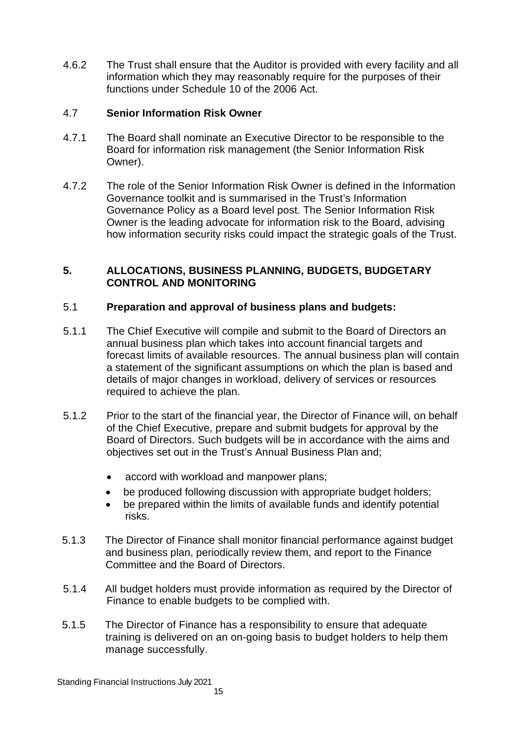4.6.2 The Trust shall ensure that the Auditor is provided with every facility and all information which they may reasonably require for the purposes of their functions under Schedule 10 of the 2006 Act.

# 4.7 **Senior Information Risk Owner**

- 4.7.1 The Board shall nominate an Executive Director to be responsible to the Board for information risk management (the Senior Information Risk Owner).
- 4.7.2 The role of the Senior Information Risk Owner is defined in the Information Governance toolkit and is summarised in the Trust's Information Governance Policy as a Board level post. The Senior Information Risk Owner is the leading advocate for information risk to the Board, advising how information security risks could impact the strategic goals of the Trust.

# **5. ALLOCATIONS, BUSINESS PLANNING, BUDGETS, BUDGETARY CONTROL AND MONITORING**

# 5.1 **Preparation and approval of business plans and budgets:**

- 5.1.1 The Chief Executive will compile and submit to the Board of Directors an annual business plan which takes into account financial targets and forecast limits of available resources. The annual business plan will contain a statement of the significant assumptions on which the plan is based and details of major changes in workload, delivery of services or resources required to achieve the plan.
- 5.1.2 Prior to the start of the financial year, the Director of Finance will, on behalf of the Chief Executive, prepare and submit budgets for approval by the Board of Directors. Such budgets will be in accordance with the aims and objectives set out in the Trust's Annual Business Plan and;
	- accord with workload and manpower plans;
	- be produced following discussion with appropriate budget holders;
	- be prepared within the limits of available funds and identify potential risks.
- 5.1.3 The Director of Finance shall monitor financial performance against budget and business plan, periodically review them, and report to the Finance Committee and the Board of Directors.
- 5.1.4 All budget holders must provide information as required by the Director of Finance to enable budgets to be complied with.
- 5.1.5 The Director of Finance has a responsibility to ensure that adequate training is delivered on an on-going basis to budget holders to help them manage successfully.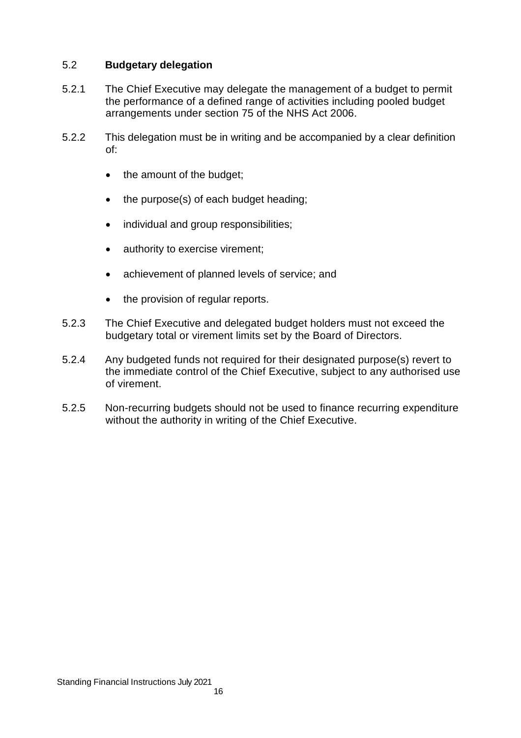## 5.2 **Budgetary delegation**

- 5.2.1 The Chief Executive may delegate the management of a budget to permit the performance of a defined range of activities including pooled budget arrangements under section 75 of the NHS Act 2006.
- 5.2.2 This delegation must be in writing and be accompanied by a clear definition of:
	- the amount of the budget;
	- the purpose(s) of each budget heading;
	- individual and group responsibilities;
	- authority to exercise virement;
	- achievement of planned levels of service; and
	- the provision of regular reports.
- 5.2.3 The Chief Executive and delegated budget holders must not exceed the budgetary total or virement limits set by the Board of Directors.
- 5.2.4 Any budgeted funds not required for their designated purpose(s) revert to the immediate control of the Chief Executive, subject to any authorised use of virement.
- 5.2.5 Non-recurring budgets should not be used to finance recurring expenditure without the authority in writing of the Chief Executive.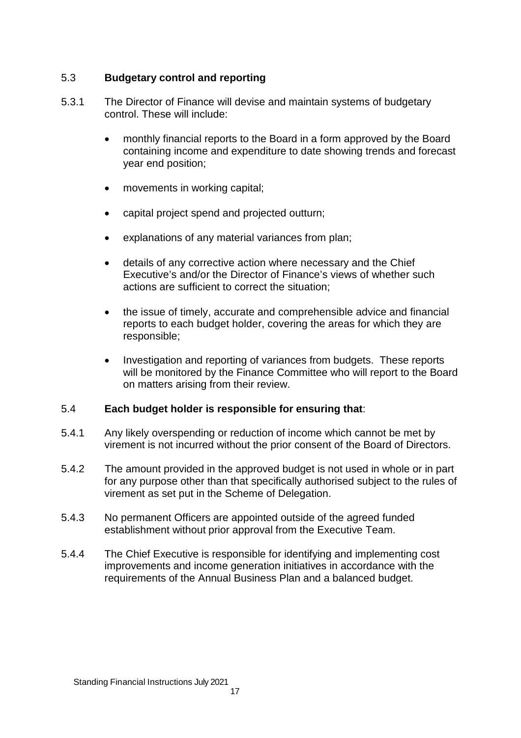# 5.3 **Budgetary control and reporting**

- 5.3.1 The Director of Finance will devise and maintain systems of budgetary control. These will include:
	- monthly financial reports to the Board in a form approved by the Board containing income and expenditure to date showing trends and forecast year end position;
	- movements in working capital;
	- capital project spend and projected outturn;
	- explanations of any material variances from plan;
	- details of any corrective action where necessary and the Chief Executive's and/or the Director of Finance's views of whether such actions are sufficient to correct the situation;
	- the issue of timely, accurate and comprehensible advice and financial reports to each budget holder, covering the areas for which they are responsible;
	- Investigation and reporting of variances from budgets. These reports will be monitored by the Finance Committee who will report to the Board on matters arising from their review.

#### 5.4 **Each budget holder is responsible for ensuring that**:

- 5.4.1 Any likely overspending or reduction of income which cannot be met by virement is not incurred without the prior consent of the Board of Directors.
- 5.4.2 The amount provided in the approved budget is not used in whole or in part for any purpose other than that specifically authorised subject to the rules of virement as set put in the Scheme of Delegation.
- 5.4.3 No permanent Officers are appointed outside of the agreed funded establishment without prior approval from the Executive Team.
- 5.4.4 The Chief Executive is responsible for identifying and implementing cost improvements and income generation initiatives in accordance with the requirements of the Annual Business Plan and a balanced budget.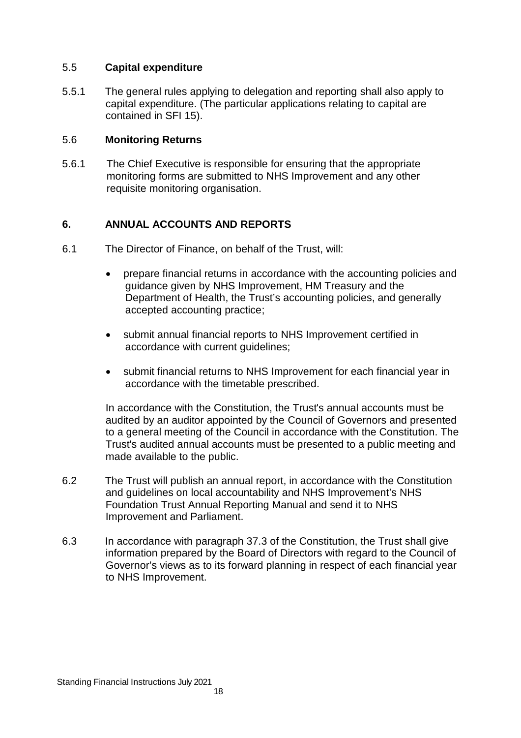## 5.5 **Capital expenditure**

5.5.1 The general rules applying to delegation and reporting shall also apply to capital expenditure. (The particular applications relating to capital are contained in SFI 15).

## 5.6 **Monitoring Returns**

5.6.1 The Chief Executive is responsible for ensuring that the appropriate monitoring forms are submitted to NHS Improvement and any other requisite monitoring organisation.

# **6. ANNUAL ACCOUNTS AND REPORTS**

- 6.1 The Director of Finance, on behalf of the Trust, will:
	- prepare financial returns in accordance with the accounting policies and guidance given by NHS Improvement, HM Treasury and the Department of Health, the Trust's accounting policies, and generally accepted accounting practice;
	- submit annual financial reports to NHS Improvement certified in accordance with current guidelines;
	- submit financial returns to NHS Improvement for each financial year in accordance with the timetable prescribed.

In accordance with the Constitution, the Trust's annual accounts must be audited by an auditor appointed by the Council of Governors and presented to a general meeting of the Council in accordance with the Constitution. The Trust's audited annual accounts must be presented to a public meeting and made available to the public.

- 6.2 The Trust will publish an annual report, in accordance with the Constitution and guidelines on local accountability and NHS Improvement's NHS Foundation Trust Annual Reporting Manual and send it to NHS Improvement and Parliament.
- 6.3 In accordance with paragraph 37.3 of the Constitution, the Trust shall give information prepared by the Board of Directors with regard to the Council of Governor's views as to its forward planning in respect of each financial year to NHS Improvement.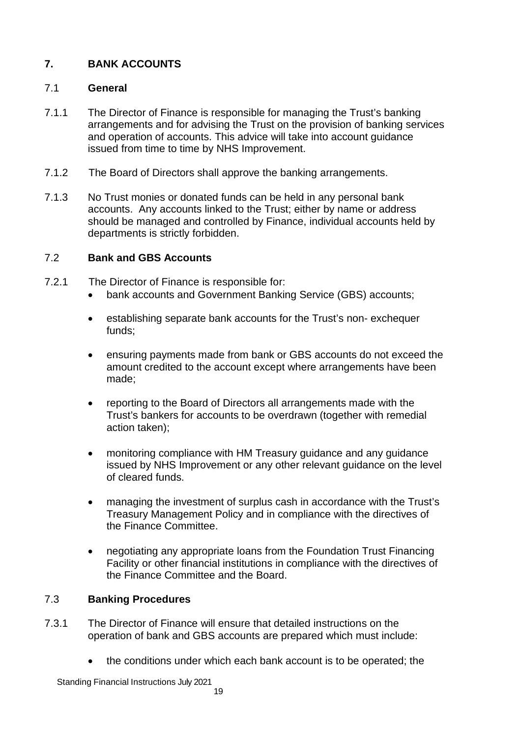# **7. BANK ACCOUNTS**

# 7.1 **General**

- 7.1.1 The Director of Finance is responsible for managing the Trust's banking arrangements and for advising the Trust on the provision of banking services and operation of accounts. This advice will take into account guidance issued from time to time by NHS Improvement.
- 7.1.2 The Board of Directors shall approve the banking arrangements.
- 7.1.3 No Trust monies or donated funds can be held in any personal bank accounts. Any accounts linked to the Trust; either by name or address should be managed and controlled by Finance, individual accounts held by departments is strictly forbidden.

## 7.2 **Bank and GBS Accounts**

- 7.2.1 The Director of Finance is responsible for:
	- bank accounts and Government Banking Service (GBS) accounts;
	- establishing separate bank accounts for the Trust's non- exchequer funds;
	- ensuring payments made from bank or GBS accounts do not exceed the amount credited to the account except where arrangements have been made;
	- reporting to the Board of Directors all arrangements made with the Trust's bankers for accounts to be overdrawn (together with remedial action taken);
	- monitoring compliance with HM Treasury guidance and any guidance issued by NHS Improvement or any other relevant guidance on the level of cleared funds.
	- managing the investment of surplus cash in accordance with the Trust's Treasury Management Policy and in compliance with the directives of the Finance Committee.
	- negotiating any appropriate loans from the Foundation Trust Financing Facility or other financial institutions in compliance with the directives of the Finance Committee and the Board.

# 7.3 **Banking Procedures**

- 7.3.1 The Director of Finance will ensure that detailed instructions on the operation of bank and GBS accounts are prepared which must include:
	- the conditions under which each bank account is to be operated; the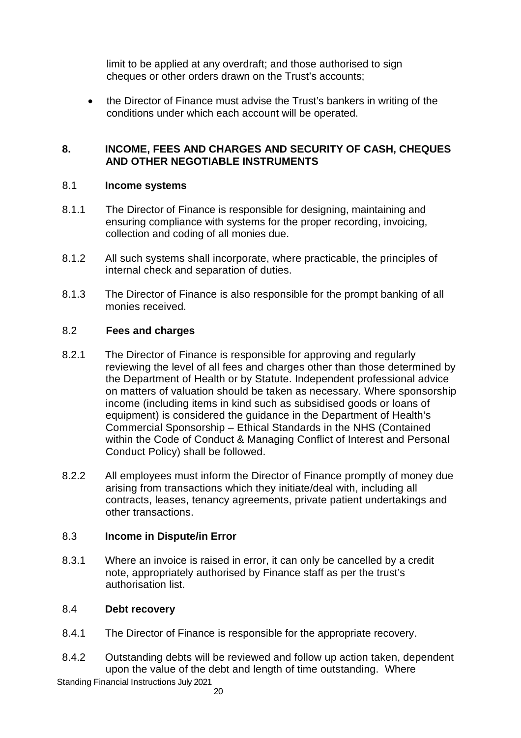limit to be applied at any overdraft; and those authorised to sign cheques or other orders drawn on the Trust's accounts;

 the Director of Finance must advise the Trust's bankers in writing of the conditions under which each account will be operated.

## **8. INCOME, FEES AND CHARGES AND SECURITY OF CASH, CHEQUES AND OTHER NEGOTIABLE INSTRUMENTS**

#### 8.1 **Income systems**

- 8.1.1 The Director of Finance is responsible for designing, maintaining and ensuring compliance with systems for the proper recording, invoicing, collection and coding of all monies due.
- 8.1.2 All such systems shall incorporate, where practicable, the principles of internal check and separation of duties.
- 8.1.3 The Director of Finance is also responsible for the prompt banking of all monies received.

## 8.2 **Fees and charges**

- 8.2.1 The Director of Finance is responsible for approving and regularly reviewing the level of all fees and charges other than those determined by the Department of Health or by Statute. Independent professional advice on matters of valuation should be taken as necessary. Where sponsorship income (including items in kind such as subsidised goods or loans of equipment) is considered the guidance in the Department of Health's Commercial Sponsorship – Ethical Standards in the NHS (Contained within the Code of Conduct & Managing Conflict of Interest and Personal Conduct Policy) shall be followed.
- 8.2.2 All employees must inform the Director of Finance promptly of money due arising from transactions which they initiate/deal with, including all contracts, leases, tenancy agreements, private patient undertakings and other transactions.

#### 8.3 **Income in Dispute/in Error**

8.3.1 Where an invoice is raised in error, it can only be cancelled by a credit note, appropriately authorised by Finance staff as per the trust's authorisation list.

#### 8.4 **Debt recovery**

- 8.4.1 The Director of Finance is responsible for the appropriate recovery.
- 8.4.2 Outstanding debts will be reviewed and follow up action taken, dependent upon the value of the debt and length of time outstanding. Where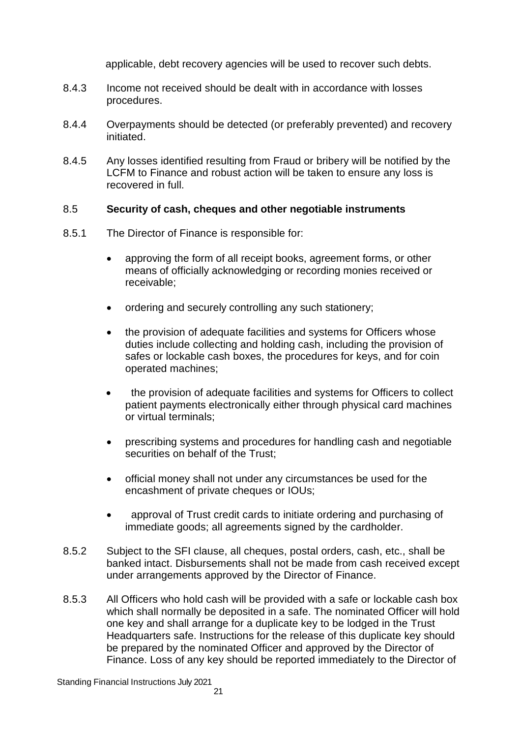applicable, debt recovery agencies will be used to recover such debts.

- 8.4.3 Income not received should be dealt with in accordance with losses procedures.
- 8.4.4 Overpayments should be detected (or preferably prevented) and recovery initiated.
- 8.4.5 Any losses identified resulting from Fraud or bribery will be notified by the LCFM to Finance and robust action will be taken to ensure any loss is recovered in full.

#### 8.5 **Security of cash, cheques and other negotiable instruments**

- 8.5.1 The Director of Finance is responsible for:
	- approving the form of all receipt books, agreement forms, or other means of officially acknowledging or recording monies received or receivable;
	- ordering and securely controlling any such stationery:
	- the provision of adequate facilities and systems for Officers whose duties include collecting and holding cash, including the provision of safes or lockable cash boxes, the procedures for keys, and for coin operated machines;
	- the provision of adequate facilities and systems for Officers to collect patient payments electronically either through physical card machines or virtual terminals;
	- prescribing systems and procedures for handling cash and negotiable securities on behalf of the Trust;
	- official money shall not under any circumstances be used for the encashment of private cheques or IOUs;
	- approval of Trust credit cards to initiate ordering and purchasing of immediate goods; all agreements signed by the cardholder.
- 8.5.2 Subject to the SFI clause, all cheques, postal orders, cash, etc., shall be banked intact. Disbursements shall not be made from cash received except under arrangements approved by the Director of Finance.
- 8.5.3 All Officers who hold cash will be provided with a safe or lockable cash box which shall normally be deposited in a safe. The nominated Officer will hold one key and shall arrange for a duplicate key to be lodged in the Trust Headquarters safe. Instructions for the release of this duplicate key should be prepared by the nominated Officer and approved by the Director of Finance. Loss of any key should be reported immediately to the Director of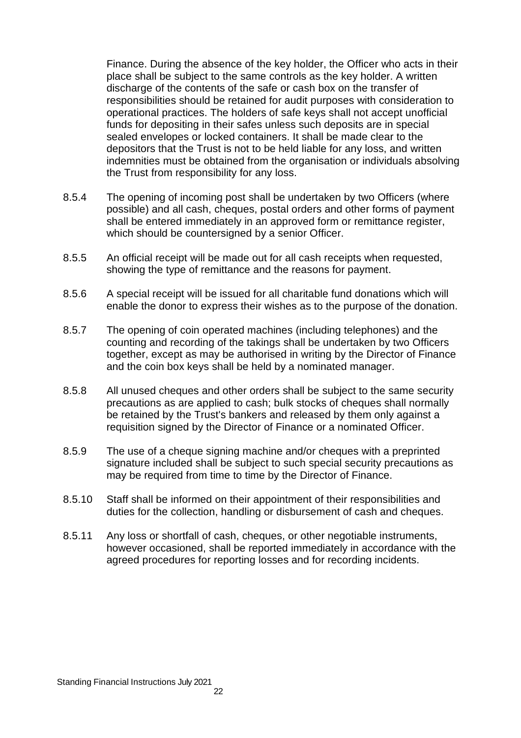Finance. During the absence of the key holder, the Officer who acts in their place shall be subject to the same controls as the key holder. A written discharge of the contents of the safe or cash box on the transfer of responsibilities should be retained for audit purposes with consideration to operational practices. The holders of safe keys shall not accept unofficial funds for depositing in their safes unless such deposits are in special sealed envelopes or locked containers. It shall be made clear to the depositors that the Trust is not to be held liable for any loss, and written indemnities must be obtained from the organisation or individuals absolving the Trust from responsibility for any loss.

- 8.5.4 The opening of incoming post shall be undertaken by two Officers (where possible) and all cash, cheques, postal orders and other forms of payment shall be entered immediately in an approved form or remittance register, which should be countersigned by a senior Officer.
- 8.5.5 An official receipt will be made out for all cash receipts when requested, showing the type of remittance and the reasons for payment.
- 8.5.6 A special receipt will be issued for all charitable fund donations which will enable the donor to express their wishes as to the purpose of the donation.
- 8.5.7 The opening of coin operated machines (including telephones) and the counting and recording of the takings shall be undertaken by two Officers together, except as may be authorised in writing by the Director of Finance and the coin box keys shall be held by a nominated manager.
- 8.5.8 All unused cheques and other orders shall be subject to the same security precautions as are applied to cash; bulk stocks of cheques shall normally be retained by the Trust's bankers and released by them only against a requisition signed by the Director of Finance or a nominated Officer.
- 8.5.9 The use of a cheque signing machine and/or cheques with a preprinted signature included shall be subject to such special security precautions as may be required from time to time by the Director of Finance.
- 8.5.10 Staff shall be informed on their appointment of their responsibilities and duties for the collection, handling or disbursement of cash and cheques.
- 8.5.11 Any loss or shortfall of cash, cheques, or other negotiable instruments, however occasioned, shall be reported immediately in accordance with the agreed procedures for reporting losses and for recording incidents.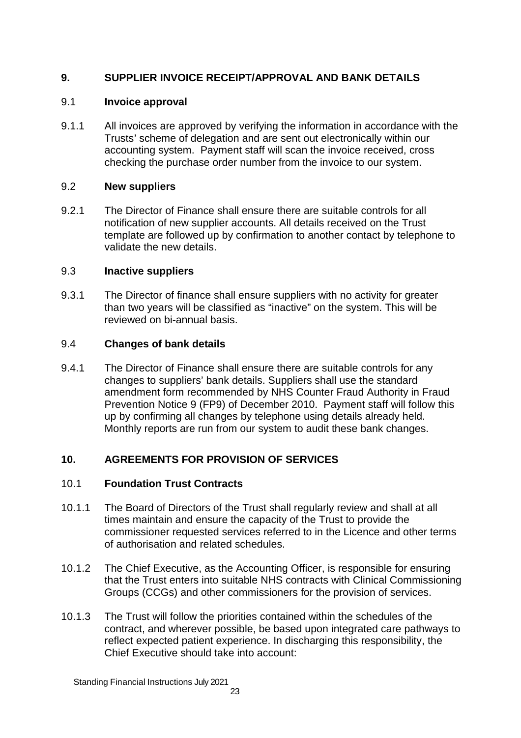# **9. SUPPLIER INVOICE RECEIPT/APPROVAL AND BANK DETAILS**

# 9.1 **Invoice approval**

9.1.1 All invoices are approved by verifying the information in accordance with the Trusts' scheme of delegation and are sent out electronically within our accounting system. Payment staff will scan the invoice received, cross checking the purchase order number from the invoice to our system.

# 9.2 **New suppliers**

9.2.1 The Director of Finance shall ensure there are suitable controls for all notification of new supplier accounts. All details received on the Trust template are followed up by confirmation to another contact by telephone to validate the new details.

# 9.3 **Inactive suppliers**

9.3.1 The Director of finance shall ensure suppliers with no activity for greater than two years will be classified as "inactive" on the system. This will be reviewed on bi-annual basis.

# 9.4 **Changes of bank details**

9.4.1 The Director of Finance shall ensure there are suitable controls for any changes to suppliers' bank details. Suppliers shall use the standard amendment form recommended by NHS Counter Fraud Authority in Fraud Prevention Notice 9 (FP9) of December 2010. Payment staff will follow this up by confirming all changes by telephone using details already held. Monthly reports are run from our system to audit these bank changes.

# **10. AGREEMENTS FOR PROVISION OF SERVICES**

# 10.1 **Foundation Trust Contracts**

- 10.1.1 The Board of Directors of the Trust shall regularly review and shall at all times maintain and ensure the capacity of the Trust to provide the commissioner requested services referred to in the Licence and other terms of authorisation and related schedules.
- 10.1.2 The Chief Executive, as the Accounting Officer, is responsible for ensuring that the Trust enters into suitable NHS contracts with Clinical Commissioning Groups (CCGs) and other commissioners for the provision of services.
- 10.1.3 The Trust will follow the priorities contained within the schedules of the contract, and wherever possible, be based upon integrated care pathways to reflect expected patient experience. In discharging this responsibility, the Chief Executive should take into account: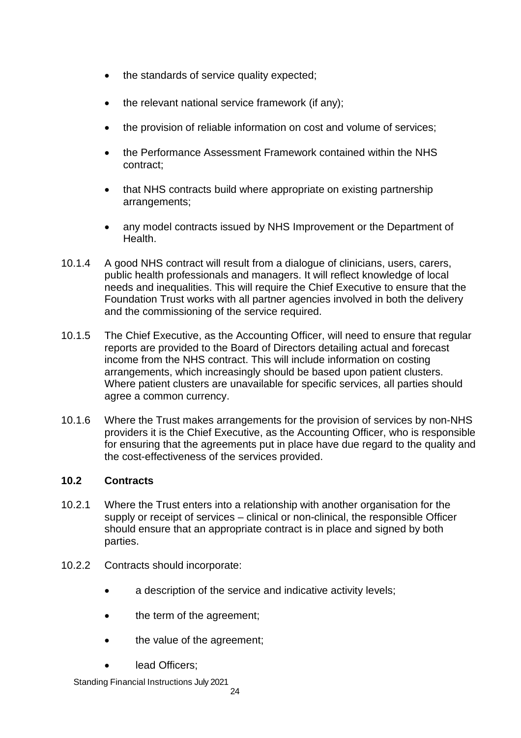- the standards of service quality expected;
- the relevant national service framework (if any);
- the provision of reliable information on cost and volume of services;
- the Performance Assessment Framework contained within the NHS contract;
- that NHS contracts build where appropriate on existing partnership arrangements;
- any model contracts issued by NHS Improvement or the Department of Health.
- 10.1.4 A good NHS contract will result from a dialogue of clinicians, users, carers, public health professionals and managers. It will reflect knowledge of local needs and inequalities. This will require the Chief Executive to ensure that the Foundation Trust works with all partner agencies involved in both the delivery and the commissioning of the service required.
- 10.1.5 The Chief Executive, as the Accounting Officer, will need to ensure that regular reports are provided to the Board of Directors detailing actual and forecast income from the NHS contract. This will include information on costing arrangements, which increasingly should be based upon patient clusters. Where patient clusters are unavailable for specific services, all parties should agree a common currency.
- 10.1.6 Where the Trust makes arrangements for the provision of services by non-NHS providers it is the Chief Executive, as the Accounting Officer, who is responsible for ensuring that the agreements put in place have due regard to the quality and the cost-effectiveness of the services provided.

# **10.2 Contracts**

- 10.2.1 Where the Trust enters into a relationship with another organisation for the supply or receipt of services – clinical or non-clinical, the responsible Officer should ensure that an appropriate contract is in place and signed by both parties.
- 10.2.2 Contracts should incorporate:
	- a description of the service and indicative activity levels;
	- the term of the agreement;
	- the value of the agreement;
	- lead Officers;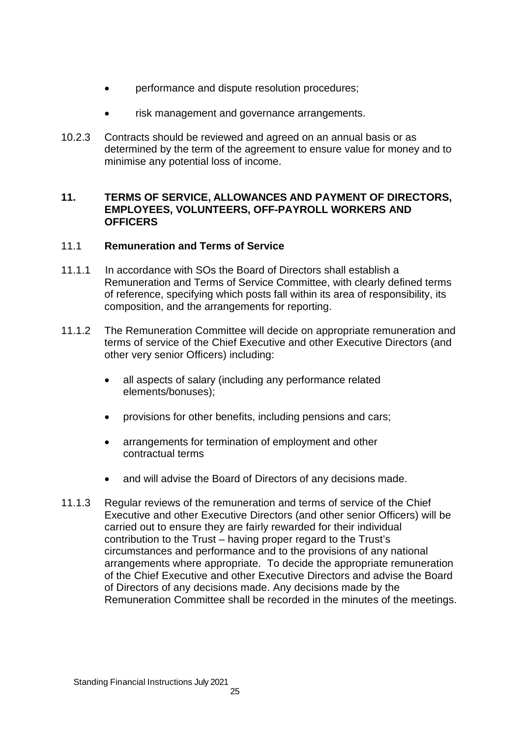- performance and dispute resolution procedures;
- risk management and governance arrangements.
- 10.2.3 Contracts should be reviewed and agreed on an annual basis or as determined by the term of the agreement to ensure value for money and to minimise any potential loss of income.

## **11. TERMS OF SERVICE, ALLOWANCES AND PAYMENT OF DIRECTORS, EMPLOYEES, VOLUNTEERS, OFF-PAYROLL WORKERS AND OFFICERS**

# 11.1 **Remuneration and Terms of Service**

- 11.1.1 In accordance with SOs the Board of Directors shall establish a Remuneration and Terms of Service Committee, with clearly defined terms of reference, specifying which posts fall within its area of responsibility, its composition, and the arrangements for reporting.
- 11.1.2 The Remuneration Committee will decide on appropriate remuneration and terms of service of the Chief Executive and other Executive Directors (and other very senior Officers) including:
	- all aspects of salary (including any performance related elements/bonuses);
	- provisions for other benefits, including pensions and cars;
	- arrangements for termination of employment and other contractual terms
	- and will advise the Board of Directors of any decisions made.
- 11.1.3 Regular reviews of the remuneration and terms of service of the Chief Executive and other Executive Directors (and other senior Officers) will be carried out to ensure they are fairly rewarded for their individual contribution to the Trust – having proper regard to the Trust's circumstances and performance and to the provisions of any national arrangements where appropriate. To decide the appropriate remuneration of the Chief Executive and other Executive Directors and advise the Board of Directors of any decisions made. Any decisions made by the Remuneration Committee shall be recorded in the minutes of the meetings.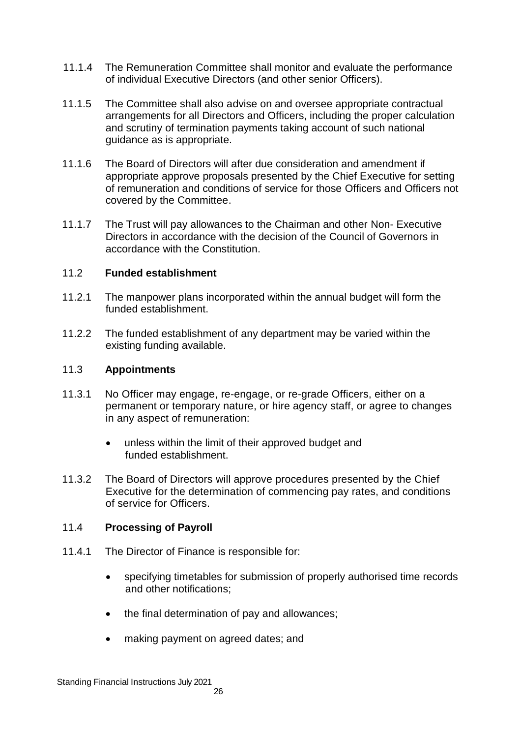- 11.1.4 The Remuneration Committee shall monitor and evaluate the performance of individual Executive Directors (and other senior Officers).
- 11.1.5 The Committee shall also advise on and oversee appropriate contractual arrangements for all Directors and Officers, including the proper calculation and scrutiny of termination payments taking account of such national guidance as is appropriate.
- 11.1.6 The Board of Directors will after due consideration and amendment if appropriate approve proposals presented by the Chief Executive for setting of remuneration and conditions of service for those Officers and Officers not covered by the Committee.
- 11.1.7 The Trust will pay allowances to the Chairman and other Non- Executive Directors in accordance with the decision of the Council of Governors in accordance with the Constitution.

## 11.2 **Funded establishment**

- 11.2.1 The manpower plans incorporated within the annual budget will form the funded establishment.
- 11.2.2 The funded establishment of any department may be varied within the existing funding available.

#### 11.3 **Appointments**

- 11.3.1 No Officer may engage, re-engage, or re-grade Officers, either on a permanent or temporary nature, or hire agency staff, or agree to changes in any aspect of remuneration:
	- unless within the limit of their approved budget and funded establishment.
- 11.3.2 The Board of Directors will approve procedures presented by the Chief Executive for the determination of commencing pay rates, and conditions of service for Officers.

#### 11.4 **Processing of Payroll**

- 11.4.1 The Director of Finance is responsible for:
	- specifying timetables for submission of properly authorised time records and other notifications;
	- the final determination of pay and allowances:
	- making payment on agreed dates; and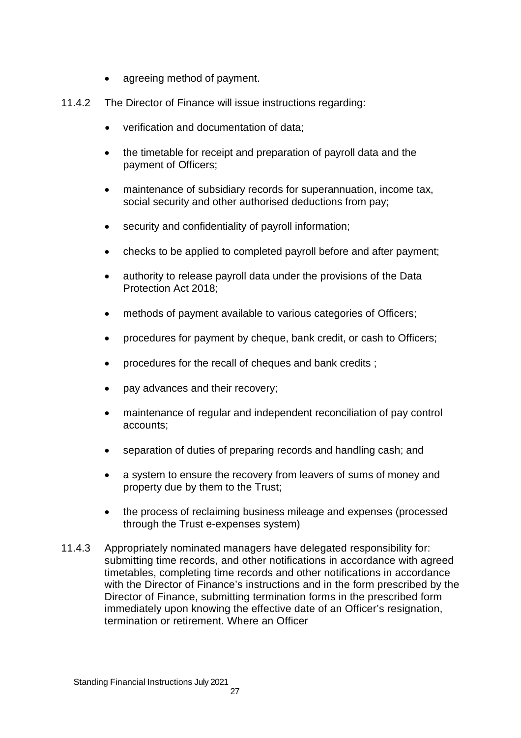- agreeing method of payment.
- 11.4.2 The Director of Finance will issue instructions regarding:
	- verification and documentation of data;
	- the timetable for receipt and preparation of payroll data and the payment of Officers;
	- maintenance of subsidiary records for superannuation, income tax, social security and other authorised deductions from pay;
	- security and confidentiality of payroll information;
	- checks to be applied to completed payroll before and after payment;
	- authority to release payroll data under the provisions of the Data Protection Act 2018;
	- methods of payment available to various categories of Officers;
	- procedures for payment by cheque, bank credit, or cash to Officers;
	- procedures for the recall of cheques and bank credits ;
	- pay advances and their recovery;
	- maintenance of regular and independent reconciliation of pay control accounts;
	- separation of duties of preparing records and handling cash; and
	- a system to ensure the recovery from leavers of sums of money and property due by them to the Trust;
	- the process of reclaiming business mileage and expenses (processed through the Trust e-expenses system)
- 11.4.3 Appropriately nominated managers have delegated responsibility for: submitting time records, and other notifications in accordance with agreed timetables, completing time records and other notifications in accordance with the Director of Finance's instructions and in the form prescribed by the Director of Finance, submitting termination forms in the prescribed form immediately upon knowing the effective date of an Officer's resignation, termination or retirement. Where an Officer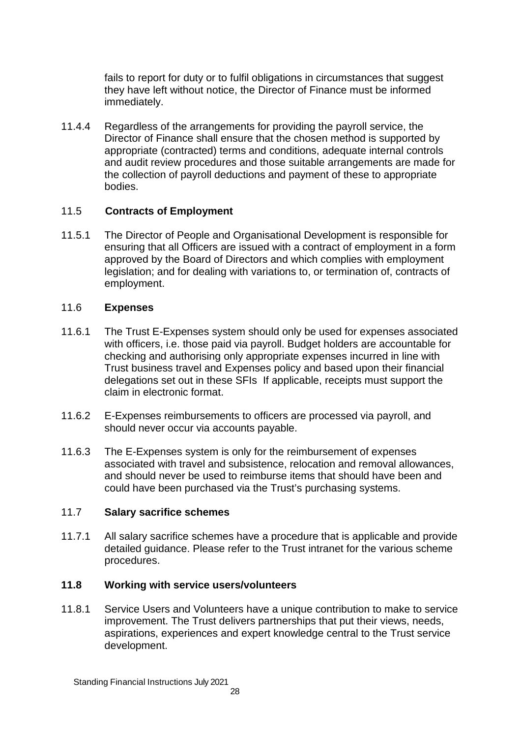fails to report for duty or to fulfil obligations in circumstances that suggest they have left without notice, the Director of Finance must be informed immediately.

11.4.4 Regardless of the arrangements for providing the payroll service, the Director of Finance shall ensure that the chosen method is supported by appropriate (contracted) terms and conditions, adequate internal controls and audit review procedures and those suitable arrangements are made for the collection of payroll deductions and payment of these to appropriate bodies.

# 11.5 **Contracts of Employment**

11.5.1 The Director of People and Organisational Development is responsible for ensuring that all Officers are issued with a contract of employment in a form approved by the Board of Directors and which complies with employment legislation; and for dealing with variations to, or termination of, contracts of employment.

# 11.6 **Expenses**

- 11.6.1 The Trust E-Expenses system should only be used for expenses associated with officers, i.e. those paid via payroll. Budget holders are accountable for checking and authorising only appropriate expenses incurred in line with Trust business travel and Expenses policy and based upon their financial delegations set out in these SFIs If applicable, receipts must support the claim in electronic format.
- 11.6.2 E-Expenses reimbursements to officers are processed via payroll, and should never occur via accounts payable.
- 11.6.3 The E-Expenses system is only for the reimbursement of expenses associated with travel and subsistence, relocation and removal allowances, and should never be used to reimburse items that should have been and could have been purchased via the Trust's purchasing systems.

# 11.7 **Salary sacrifice schemes**

11.7.1 All salary sacrifice schemes have a procedure that is applicable and provide detailed guidance. Please refer to the Trust intranet for the various scheme procedures.

# **11.8 Working with service users/volunteers**

11.8.1 Service Users and Volunteers have a unique contribution to make to service improvement. The Trust delivers partnerships that put their views, needs, aspirations, experiences and expert knowledge central to the Trust service development.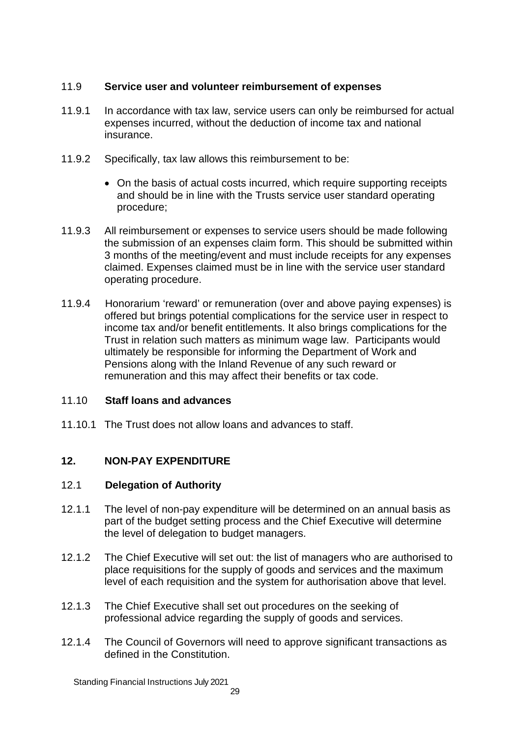# 11.9 **Service user and volunteer reimbursement of expenses**

- 11.9.1 In accordance with tax law, service users can only be reimbursed for actual expenses incurred, without the deduction of income tax and national insurance.
- 11.9.2 Specifically, tax law allows this reimbursement to be:
	- On the basis of actual costs incurred, which require supporting receipts and should be in line with the Trusts service user standard operating procedure;
- 11.9.3 All reimbursement or expenses to service users should be made following the submission of an expenses claim form. This should be submitted within 3 months of the meeting/event and must include receipts for any expenses claimed. Expenses claimed must be in line with the service user standard operating procedure.
- 11.9.4 Honorarium 'reward' or remuneration (over and above paying expenses) is offered but brings potential complications for the service user in respect to income tax and/or benefit entitlements. It also brings complications for the Trust in relation such matters as minimum wage law. Participants would ultimately be responsible for informing the Department of Work and Pensions along with the Inland Revenue of any such reward or remuneration and this may affect their benefits or tax code.

# 11.10 **Staff loans and advances**

11.10.1 The Trust does not allow loans and advances to staff.

# **12. NON-PAY EXPENDITURE**

# 12.1 **Delegation of Authority**

- 12.1.1 The level of non-pay expenditure will be determined on an annual basis as part of the budget setting process and the Chief Executive will determine the level of delegation to budget managers.
- 12.1.2 The Chief Executive will set out: the list of managers who are authorised to place requisitions for the supply of goods and services and the maximum level of each requisition and the system for authorisation above that level.
- 12.1.3 The Chief Executive shall set out procedures on the seeking of professional advice regarding the supply of goods and services.
- 12.1.4 The Council of Governors will need to approve significant transactions as defined in the Constitution.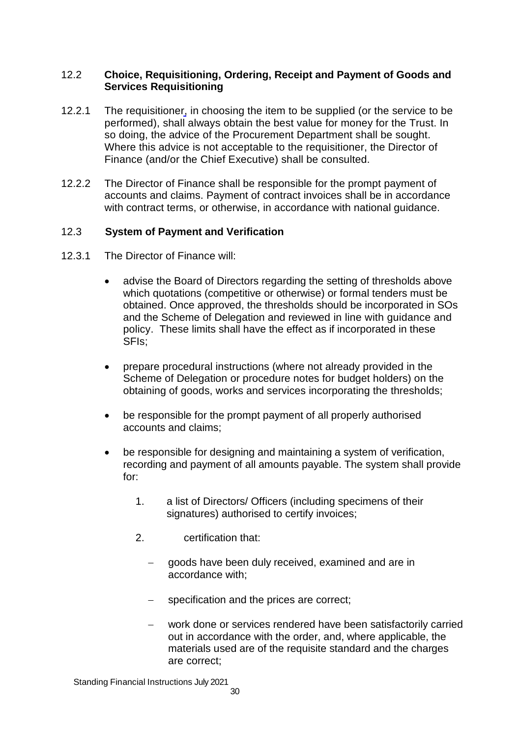## 12.2 **Choice, Requisitioning, Ordering, Receipt and Payment of Goods and Services Requisitioning**

- 12.2.1 The requisitioner, in choosing the item to be supplied (or the service to be performed), shall always obtain the best value for money for the Trust. In so doing, the advice of the Procurement Department shall be sought. Where this advice is not acceptable to the requisitioner, the Director of Finance (and/or the Chief Executive) shall be consulted.
- 12.2.2 The Director of Finance shall be responsible for the prompt payment of accounts and claims. Payment of contract invoices shall be in accordance with contract terms, or otherwise, in accordance with national guidance.

## 12.3 **System of Payment and Verification**

- 12.3.1 The Director of Finance will:
	- advise the Board of Directors regarding the setting of thresholds above which quotations (competitive or otherwise) or formal tenders must be obtained. Once approved, the thresholds should be incorporated in SOs and the Scheme of Delegation and reviewed in line with guidance and policy. These limits shall have the effect as if incorporated in these SFIs;
	- prepare procedural instructions (where not already provided in the Scheme of Delegation or procedure notes for budget holders) on the obtaining of goods, works and services incorporating the thresholds;
	- be responsible for the prompt payment of all properly authorised accounts and claims;
	- be responsible for designing and maintaining a system of verification, recording and payment of all amounts payable. The system shall provide for:
		- 1. a list of Directors/ Officers (including specimens of their signatures) authorised to certify invoices;
		- 2. certification that:
			- goods have been duly received, examined and are in accordance with;
			- specification and the prices are correct;
			- work done or services rendered have been satisfactorily carried out in accordance with the order, and, where applicable, the materials used are of the requisite standard and the charges are correct;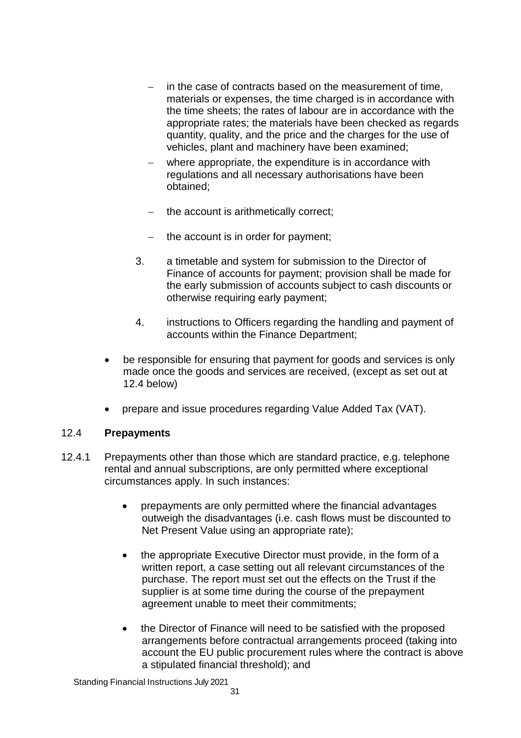- in the case of contracts based on the measurement of time. materials or expenses, the time charged is in accordance with the time sheets; the rates of labour are in accordance with the appropriate rates; the materials have been checked as regards quantity, quality, and the price and the charges for the use of vehicles, plant and machinery have been examined;
- where appropriate, the expenditure is in accordance with regulations and all necessary authorisations have been obtained;
- $-$  the account is arithmetically correct;
- $-$  the account is in order for payment:
- 3. a timetable and system for submission to the Director of Finance of accounts for payment; provision shall be made for the early submission of accounts subject to cash discounts or otherwise requiring early payment;
- 4. instructions to Officers regarding the handling and payment of accounts within the Finance Department;
- be responsible for ensuring that payment for goods and services is only made once the goods and services are received, (except as set out at 12.4 below)
- prepare and issue procedures regarding Value Added Tax (VAT).

#### 12.4 **Prepayments**

- 12.4.1 Prepayments other than those which are standard practice, e.g. telephone rental and annual subscriptions, are only permitted where exceptional circumstances apply. In such instances:
	- prepayments are only permitted where the financial advantages outweigh the disadvantages (i.e. cash flows must be discounted to Net Present Value using an appropriate rate);
	- the appropriate Executive Director must provide, in the form of a written report, a case setting out all relevant circumstances of the purchase. The report must set out the effects on the Trust if the supplier is at some time during the course of the prepayment agreement unable to meet their commitments;
	- the Director of Finance will need to be satisfied with the proposed arrangements before contractual arrangements proceed (taking into account the EU public procurement rules where the contract is above a stipulated financial threshold); and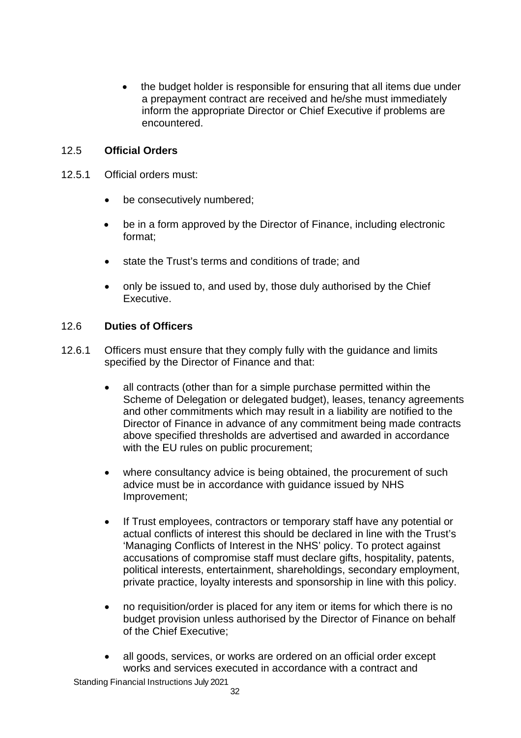the budget holder is responsible for ensuring that all items due under a prepayment contract are received and he/she must immediately inform the appropriate Director or Chief Executive if problems are encountered.

# 12.5 **Official Orders**

- 12.5.1 Official orders must:
	- be consecutively numbered;
	- be in a form approved by the Director of Finance, including electronic format;
	- state the Trust's terms and conditions of trade: and
	- only be issued to, and used by, those duly authorised by the Chief Executive.

#### 12.6 **Duties of Officers**

- 12.6.1 Officers must ensure that they comply fully with the guidance and limits specified by the Director of Finance and that:
	- all contracts (other than for a simple purchase permitted within the Scheme of Delegation or delegated budget), leases, tenancy agreements and other commitments which may result in a liability are notified to the Director of Finance in advance of any commitment being made contracts above specified thresholds are advertised and awarded in accordance with the EU rules on public procurement;
	- where consultancy advice is being obtained, the procurement of such advice must be in accordance with guidance issued by NHS Improvement;
	- If Trust employees, contractors or temporary staff have any potential or actual conflicts of interest this should be declared in line with the Trust's 'Managing Conflicts of Interest in the NHS' policy. To protect against accusations of compromise staff must declare gifts, hospitality, patents, political interests, entertainment, shareholdings, secondary employment, private practice, loyalty interests and sponsorship in line with this policy.
	- no requisition/order is placed for any item or items for which there is no budget provision unless authorised by the Director of Finance on behalf of the Chief Executive;
	- all goods, services, or works are ordered on an official order except works and services executed in accordance with a contract and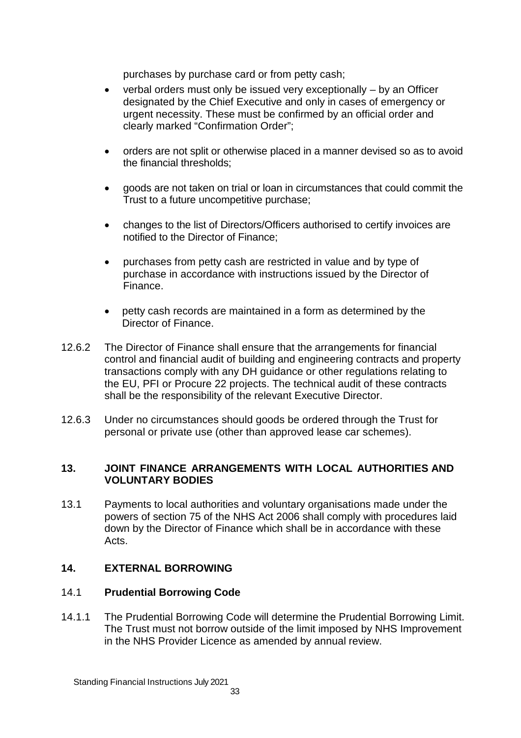purchases by purchase card or from petty cash;

- $\bullet$  verbal orders must only be issued very exceptionally  $-$  by an Officer designated by the Chief Executive and only in cases of emergency or urgent necessity. These must be confirmed by an official order and clearly marked "Confirmation Order";
- orders are not split or otherwise placed in a manner devised so as to avoid the financial thresholds;
- goods are not taken on trial or loan in circumstances that could commit the Trust to a future uncompetitive purchase;
- changes to the list of Directors/Officers authorised to certify invoices are notified to the Director of Finance;
- purchases from petty cash are restricted in value and by type of purchase in accordance with instructions issued by the Director of Finance.
- petty cash records are maintained in a form as determined by the Director of Finance.
- 12.6.2 The Director of Finance shall ensure that the arrangements for financial control and financial audit of building and engineering contracts and property transactions comply with any DH guidance or other regulations relating to the EU, PFI or Procure 22 projects. The technical audit of these contracts shall be the responsibility of the relevant Executive Director.
- 12.6.3 Under no circumstances should goods be ordered through the Trust for personal or private use (other than approved lease car schemes).

## **13. JOINT FINANCE ARRANGEMENTS WITH LOCAL AUTHORITIES AND VOLUNTARY BODIES**

13.1 Payments to local authorities and voluntary organisations made under the powers of section 75 of the NHS Act 2006 shall comply with procedures laid down by the Director of Finance which shall be in accordance with these Acts.

# **14. EXTERNAL BORROWING**

# 14.1 **Prudential Borrowing Code**

14.1.1 The Prudential Borrowing Code will determine the Prudential Borrowing Limit. The Trust must not borrow outside of the limit imposed by NHS Improvement in the NHS Provider Licence as amended by annual review.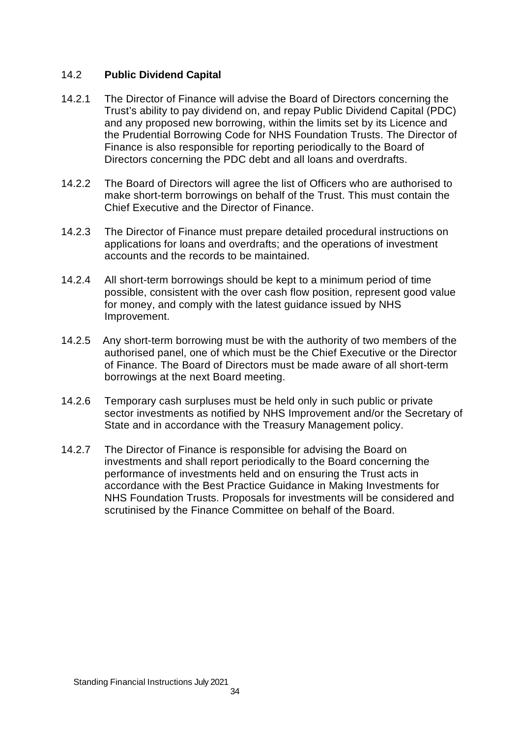# 14.2 **Public Dividend Capital**

- 14.2.1 The Director of Finance will advise the Board of Directors concerning the Trust's ability to pay dividend on, and repay Public Dividend Capital (PDC) and any proposed new borrowing, within the limits set by its Licence and the Prudential Borrowing Code for NHS Foundation Trusts. The Director of Finance is also responsible for reporting periodically to the Board of Directors concerning the PDC debt and all loans and overdrafts.
- 14.2.2 The Board of Directors will agree the list of Officers who are authorised to make short-term borrowings on behalf of the Trust. This must contain the Chief Executive and the Director of Finance.
- 14.2.3 The Director of Finance must prepare detailed procedural instructions on applications for loans and overdrafts; and the operations of investment accounts and the records to be maintained.
- 14.2.4 All short-term borrowings should be kept to a minimum period of time possible, consistent with the over cash flow position, represent good value for money, and comply with the latest guidance issued by NHS Improvement.
- 14.2.5 Any short-term borrowing must be with the authority of two members of the authorised panel, one of which must be the Chief Executive or the Director of Finance. The Board of Directors must be made aware of all short-term borrowings at the next Board meeting.
- 14.2.6 Temporary cash surpluses must be held only in such public or private sector investments as notified by NHS Improvement and/or the Secretary of State and in accordance with the Treasury Management policy.
- 14.2.7 The Director of Finance is responsible for advising the Board on investments and shall report periodically to the Board concerning the performance of investments held and on ensuring the Trust acts in accordance with the Best Practice Guidance in Making Investments for NHS Foundation Trusts. Proposals for investments will be considered and scrutinised by the Finance Committee on behalf of the Board.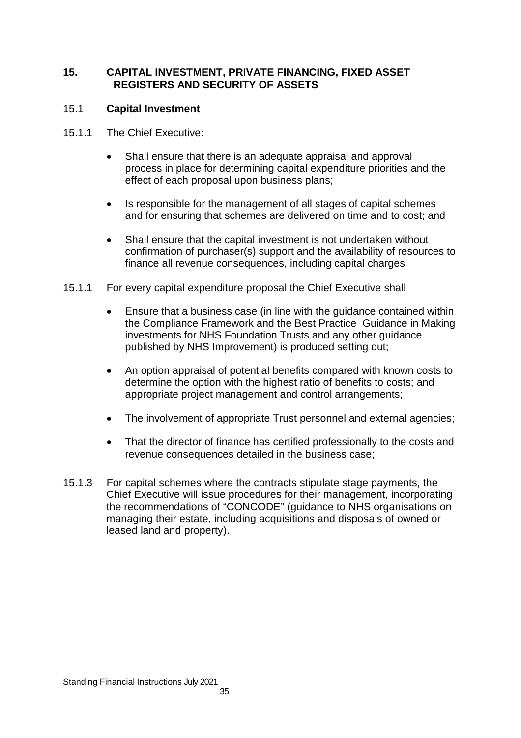## **15. CAPITAL INVESTMENT, PRIVATE FINANCING, FIXED ASSET REGISTERS AND SECURITY OF ASSETS**

# 15.1 **Capital Investment**

- 15.1.1 The Chief Executive:
	- Shall ensure that there is an adequate appraisal and approval process in place for determining capital expenditure priorities and the effect of each proposal upon business plans;
	- Is responsible for the management of all stages of capital schemes and for ensuring that schemes are delivered on time and to cost; and
	- Shall ensure that the capital investment is not undertaken without confirmation of purchaser(s) support and the availability of resources to finance all revenue consequences, including capital charges
- 15.1.1 For every capital expenditure proposal the Chief Executive shall
	- Ensure that a business case (in line with the guidance contained within the Compliance Framework and the Best Practice Guidance in Making investments for NHS Foundation Trusts and any other guidance published by NHS Improvement) is produced setting out;
	- An option appraisal of potential benefits compared with known costs to determine the option with the highest ratio of benefits to costs; and appropriate project management and control arrangements;
	- The involvement of appropriate Trust personnel and external agencies;
	- That the director of finance has certified professionally to the costs and revenue consequences detailed in the business case;
- 15.1.3 For capital schemes where the contracts stipulate stage payments, the Chief Executive will issue procedures for their management, incorporating the recommendations of "CONCODE" (guidance to NHS organisations on managing their estate, including acquisitions and disposals of owned or leased land and property).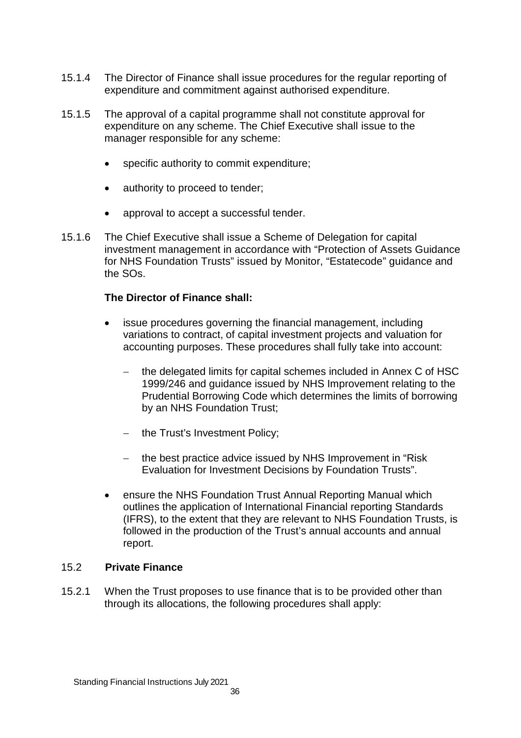- 15.1.4 The Director of Finance shall issue procedures for the regular reporting of expenditure and commitment against authorised expenditure.
- 15.1.5 The approval of a capital programme shall not constitute approval for expenditure on any scheme. The Chief Executive shall issue to the manager responsible for any scheme:
	- specific authority to commit expenditure;
	- authority to proceed to tender;
	- approval to accept a successful tender.
- 15.1.6 The Chief Executive shall issue a Scheme of Delegation for capital investment management in accordance with "Protection of Assets Guidance for NHS Foundation Trusts" issued by Monitor, "Estatecode" guidance and the SOs.

#### **The Director of Finance shall:**

- issue procedures governing the financial management, including variations to contract, of capital investment projects and valuation for accounting purposes. These procedures shall fully take into account:
	- the delegated limits for capital schemes included in Annex C of HSC 1999/246 and guidance issued by NHS Improvement relating to the Prudential Borrowing Code which determines the limits of borrowing by an NHS Foundation Trust;
	- $-$  the Trust's Investment Policy;
	- the best practice advice issued by NHS Improvement in "Risk" Evaluation for Investment Decisions by Foundation Trusts".
- ensure the NHS Foundation Trust Annual Reporting Manual which outlines the application of International Financial reporting Standards (IFRS), to the extent that they are relevant to NHS Foundation Trusts, is followed in the production of the Trust's annual accounts and annual report.

#### 15.2 **Private Finance**

15.2.1 When the Trust proposes to use finance that is to be provided other than through its allocations, the following procedures shall apply: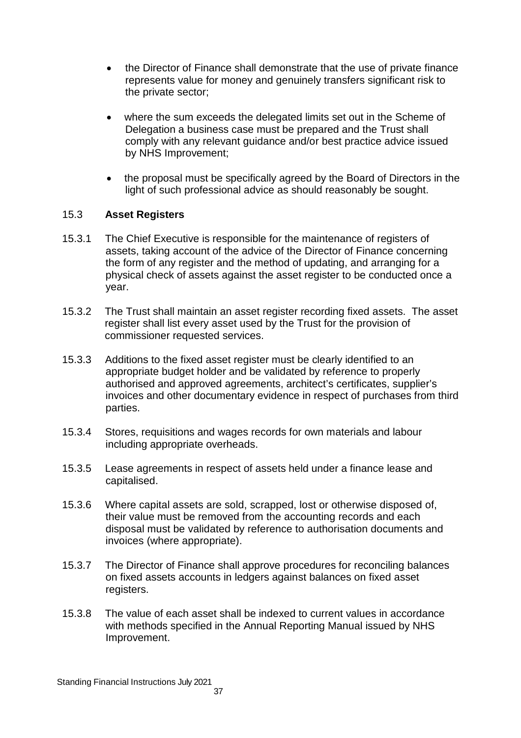- the Director of Finance shall demonstrate that the use of private finance represents value for money and genuinely transfers significant risk to the private sector;
- where the sum exceeds the delegated limits set out in the Scheme of Delegation a business case must be prepared and the Trust shall comply with any relevant guidance and/or best practice advice issued by NHS Improvement;
- the proposal must be specifically agreed by the Board of Directors in the light of such professional advice as should reasonably be sought.

# 15.3 **Asset Registers**

- 15.3.1 The Chief Executive is responsible for the maintenance of registers of assets, taking account of the advice of the Director of Finance concerning the form of any register and the method of updating, and arranging for a physical check of assets against the asset register to be conducted once a year.
- 15.3.2 The Trust shall maintain an asset register recording fixed assets. The asset register shall list every asset used by the Trust for the provision of commissioner requested services.
- 15.3.3 Additions to the fixed asset register must be clearly identified to an appropriate budget holder and be validated by reference to properly authorised and approved agreements, architect's certificates, supplier's invoices and other documentary evidence in respect of purchases from third parties.
- 15.3.4 Stores, requisitions and wages records for own materials and labour including appropriate overheads.
- 15.3.5 Lease agreements in respect of assets held under a finance lease and capitalised.
- 15.3.6 Where capital assets are sold, scrapped, lost or otherwise disposed of, their value must be removed from the accounting records and each disposal must be validated by reference to authorisation documents and invoices (where appropriate).
- 15.3.7 The Director of Finance shall approve procedures for reconciling balances on fixed assets accounts in ledgers against balances on fixed asset registers.
- 15.3.8 The value of each asset shall be indexed to current values in accordance with methods specified in the Annual Reporting Manual issued by NHS Improvement.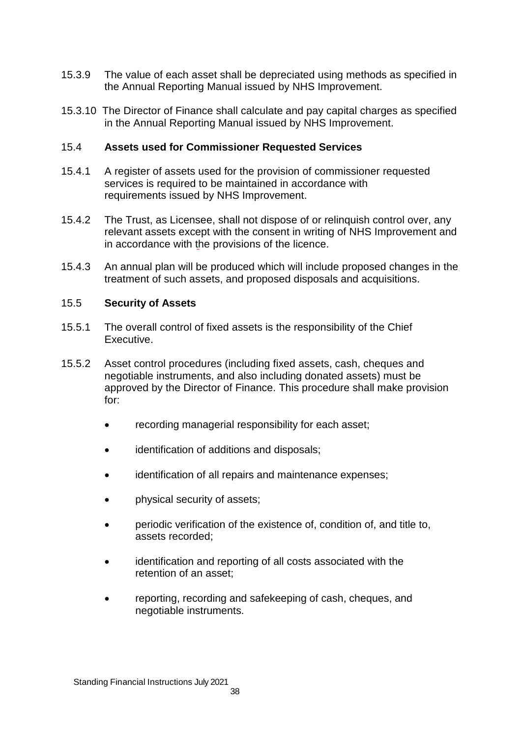- 15.3.9 The value of each asset shall be depreciated using methods as specified in the Annual Reporting Manual issued by NHS Improvement.
- 15.3.10 The Director of Finance shall calculate and pay capital charges as specified in the Annual Reporting Manual issued by NHS Improvement.

## 15.4 **Assets used for Commissioner Requested Services**

- 15.4.1 A register of assets used for the provision of commissioner requested services is required to be maintained in accordance with requirements issued by NHS Improvement.
- 15.4.2 The Trust, as Licensee, shall not dispose of or relinquish control over, any relevant assets except with the consent in writing of NHS Improvement and in accordance with the provisions of the licence.
- 15.4.3 An annual plan will be produced which will include proposed changes in the treatment of such assets, and proposed disposals and acquisitions.

## 15.5 **Security of Assets**

- 15.5.1 The overall control of fixed assets is the responsibility of the Chief Executive.
- 15.5.2 Asset control procedures (including fixed assets, cash, cheques and negotiable instruments, and also including donated assets) must be approved by the Director of Finance. This procedure shall make provision for:
	- recording managerial responsibility for each asset;
	- identification of additions and disposals;
	- identification of all repairs and maintenance expenses;
	- physical security of assets;
	- periodic verification of the existence of, condition of, and title to, assets recorded;
	- identification and reporting of all costs associated with the retention of an asset;
	- reporting, recording and safekeeping of cash, cheques, and negotiable instruments.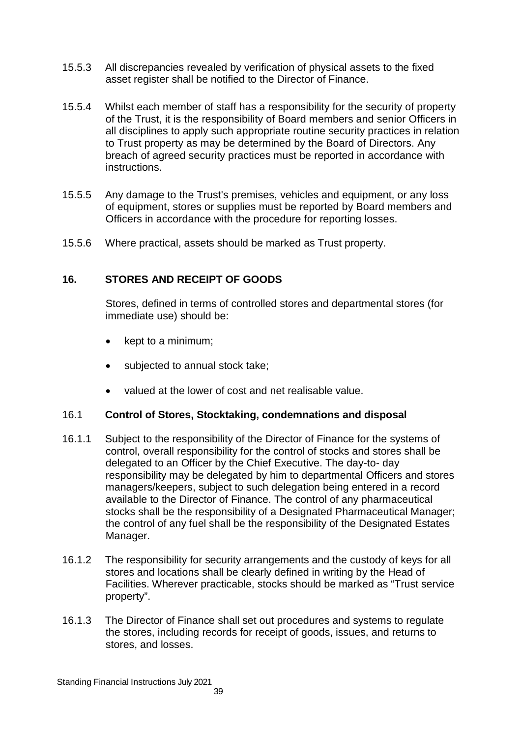- 15.5.3 All discrepancies revealed by verification of physical assets to the fixed asset register shall be notified to the Director of Finance.
- 15.5.4 Whilst each member of staff has a responsibility for the security of property of the Trust, it is the responsibility of Board members and senior Officers in all disciplines to apply such appropriate routine security practices in relation to Trust property as may be determined by the Board of Directors. Any breach of agreed security practices must be reported in accordance with instructions.
- 15.5.5 Any damage to the Trust's premises, vehicles and equipment, or any loss of equipment, stores or supplies must be reported by Board members and Officers in accordance with the procedure for reporting losses.
- 15.5.6 Where practical, assets should be marked as Trust property.

# **16. STORES AND RECEIPT OF GOODS**

Stores, defined in terms of controlled stores and departmental stores (for immediate use) should be:

- kept to a minimum;
- subjected to annual stock take;
- valued at the lower of cost and net realisable value.

#### 16.1 **Control of Stores, Stocktaking, condemnations and disposal**

- 16.1.1 Subject to the responsibility of the Director of Finance for the systems of control, overall responsibility for the control of stocks and stores shall be delegated to an Officer by the Chief Executive. The day-to- day responsibility may be delegated by him to departmental Officers and stores managers/keepers, subject to such delegation being entered in a record available to the Director of Finance. The control of any pharmaceutical stocks shall be the responsibility of a Designated Pharmaceutical Manager; the control of any fuel shall be the responsibility of the Designated Estates Manager.
- 16.1.2 The responsibility for security arrangements and the custody of keys for all stores and locations shall be clearly defined in writing by the Head of Facilities. Wherever practicable, stocks should be marked as "Trust service property".
- 16.1.3 The Director of Finance shall set out procedures and systems to regulate the stores, including records for receipt of goods, issues, and returns to stores, and losses.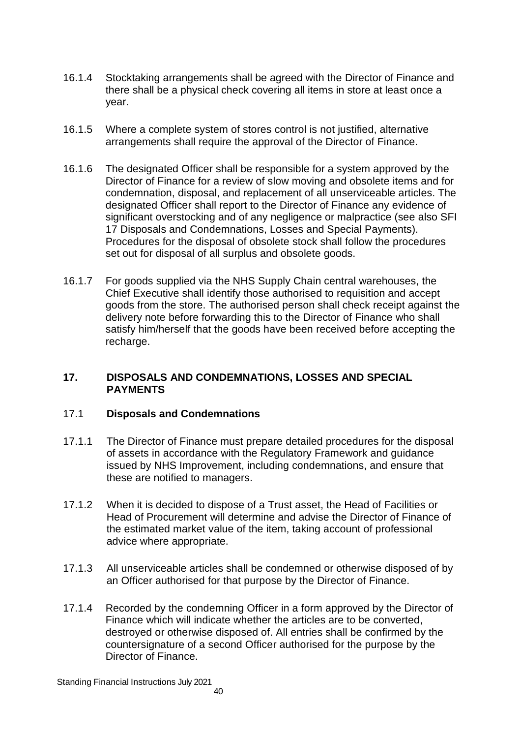- 16.1.4 Stocktaking arrangements shall be agreed with the Director of Finance and there shall be a physical check covering all items in store at least once a year.
- 16.1.5 Where a complete system of stores control is not justified, alternative arrangements shall require the approval of the Director of Finance.
- 16.1.6 The designated Officer shall be responsible for a system approved by the Director of Finance for a review of slow moving and obsolete items and for condemnation, disposal, and replacement of all unserviceable articles. The designated Officer shall report to the Director of Finance any evidence of significant overstocking and of any negligence or malpractice (see also SFI 17 Disposals and Condemnations, Losses and Special Payments). Procedures for the disposal of obsolete stock shall follow the procedures set out for disposal of all surplus and obsolete goods.
- 16.1.7 For goods supplied via the NHS Supply Chain central warehouses, the Chief Executive shall identify those authorised to requisition and accept goods from the store. The authorised person shall check receipt against the delivery note before forwarding this to the Director of Finance who shall satisfy him/herself that the goods have been received before accepting the recharge.

#### **17. DISPOSALS AND CONDEMNATIONS, LOSSES AND SPECIAL PAYMENTS**

# 17.1 **Disposals and Condemnations**

- 17.1.1 The Director of Finance must prepare detailed procedures for the disposal of assets in accordance with the Regulatory Framework and guidance issued by NHS Improvement, including condemnations, and ensure that these are notified to managers.
- 17.1.2 When it is decided to dispose of a Trust asset, the Head of Facilities or Head of Procurement will determine and advise the Director of Finance of the estimated market value of the item, taking account of professional advice where appropriate.
- 17.1.3 All unserviceable articles shall be condemned or otherwise disposed of by an Officer authorised for that purpose by the Director of Finance.
- 17.1.4 Recorded by the condemning Officer in a form approved by the Director of Finance which will indicate whether the articles are to be converted, destroyed or otherwise disposed of. All entries shall be confirmed by the countersignature of a second Officer authorised for the purpose by the Director of Finance.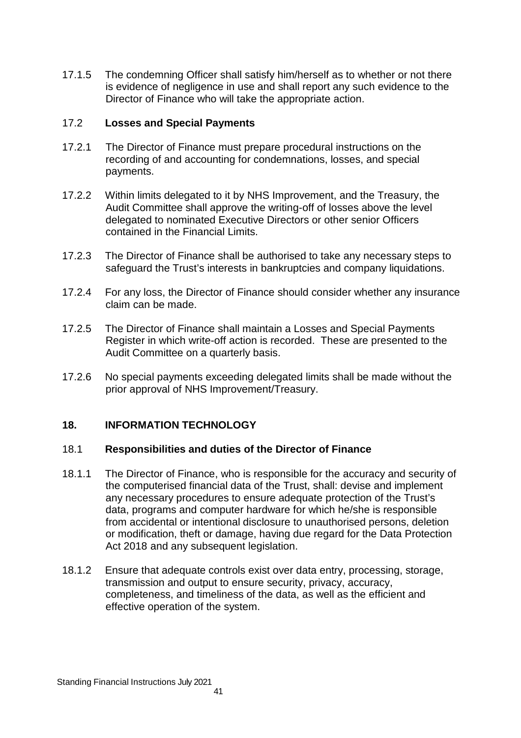17.1.5 The condemning Officer shall satisfy him/herself as to whether or not there is evidence of negligence in use and shall report any such evidence to the Director of Finance who will take the appropriate action.

## 17.2 **Losses and Special Payments**

- 17.2.1 The Director of Finance must prepare procedural instructions on the recording of and accounting for condemnations, losses, and special payments.
- 17.2.2 Within limits delegated to it by NHS Improvement, and the Treasury, the Audit Committee shall approve the writing-off of losses above the level delegated to nominated Executive Directors or other senior Officers contained in the Financial Limits.
- 17.2.3 The Director of Finance shall be authorised to take any necessary steps to safeguard the Trust's interests in bankruptcies and company liquidations.
- 17.2.4 For any loss, the Director of Finance should consider whether any insurance claim can be made.
- 17.2.5 The Director of Finance shall maintain a Losses and Special Payments Register in which write-off action is recorded. These are presented to the Audit Committee on a quarterly basis.
- 17.2.6 No special payments exceeding delegated limits shall be made without the prior approval of NHS Improvement/Treasury.

# **18. INFORMATION TECHNOLOGY**

#### 18.1 **Responsibilities and duties of the Director of Finance**

- 18.1.1 The Director of Finance, who is responsible for the accuracy and security of the computerised financial data of the Trust, shall: devise and implement any necessary procedures to ensure adequate protection of the Trust's data, programs and computer hardware for which he/she is responsible from accidental or intentional disclosure to unauthorised persons, deletion or modification, theft or damage, having due regard for the Data Protection Act 2018 and any subsequent legislation.
- 18.1.2 Ensure that adequate controls exist over data entry, processing, storage, transmission and output to ensure security, privacy, accuracy, completeness, and timeliness of the data, as well as the efficient and effective operation of the system.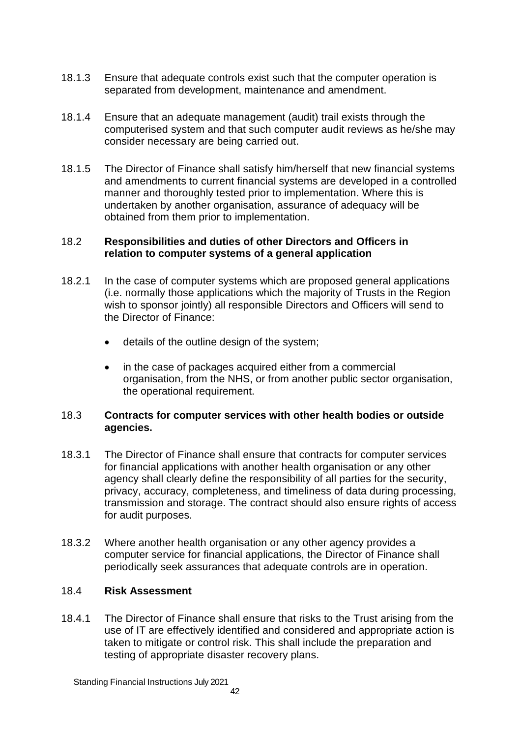- 18.1.3 Ensure that adequate controls exist such that the computer operation is separated from development, maintenance and amendment.
- 18.1.4 Ensure that an adequate management (audit) trail exists through the computerised system and that such computer audit reviews as he/she may consider necessary are being carried out.
- 18.1.5 The Director of Finance shall satisfy him/herself that new financial systems and amendments to current financial systems are developed in a controlled manner and thoroughly tested prior to implementation. Where this is undertaken by another organisation, assurance of adequacy will be obtained from them prior to implementation.

#### 18.2 **Responsibilities and duties of other Directors and Officers in relation to computer systems of a general application**

- 18.2.1 In the case of computer systems which are proposed general applications (i.e. normally those applications which the majority of Trusts in the Region wish to sponsor jointly) all responsible Directors and Officers will send to the Director of Finance:
	- details of the outline design of the system;
	- in the case of packages acquired either from a commercial organisation, from the NHS, or from another public sector organisation, the operational requirement.

## 18.3 **Contracts for computer services with other health bodies or outside agencies.**

- 18.3.1 The Director of Finance shall ensure that contracts for computer services for financial applications with another health organisation or any other agency shall clearly define the responsibility of all parties for the security, privacy, accuracy, completeness, and timeliness of data during processing, transmission and storage. The contract should also ensure rights of access for audit purposes.
- 18.3.2 Where another health organisation or any other agency provides a computer service for financial applications, the Director of Finance shall periodically seek assurances that adequate controls are in operation.

# 18.4 **Risk Assessment**

18.4.1 The Director of Finance shall ensure that risks to the Trust arising from the use of IT are effectively identified and considered and appropriate action is taken to mitigate or control risk. This shall include the preparation and testing of appropriate disaster recovery plans.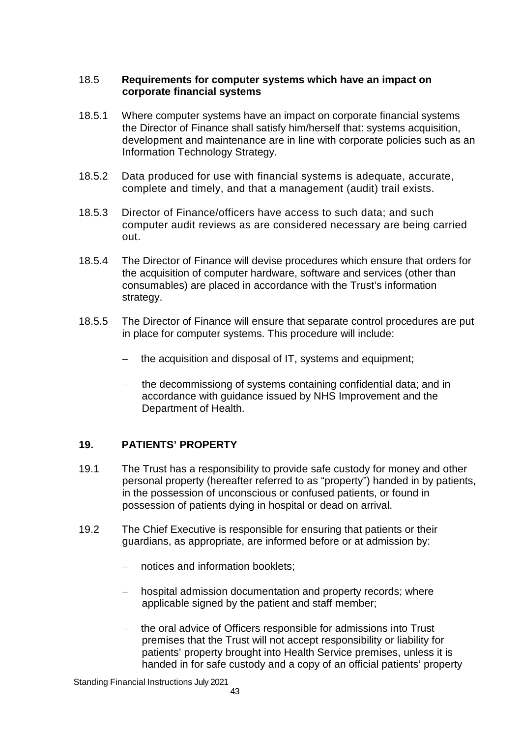#### 18.5 **Requirements for computer systems which have an impact on corporate financial systems**

- 18.5.1 Where computer systems have an impact on corporate financial systems the Director of Finance shall satisfy him/herself that: systems acquisition, development and maintenance are in line with corporate policies such as an Information Technology Strategy.
- 18.5.2 Data produced for use with financial systems is adequate, accurate, complete and timely, and that a management (audit) trail exists.
- 18.5.3 Director of Finance/officers have access to such data; and such computer audit reviews as are considered necessary are being carried out.
- 18.5.4 The Director of Finance will devise procedures which ensure that orders for the acquisition of computer hardware, software and services (other than consumables) are placed in accordance with the Trust's information strategy.
- 18.5.5 The Director of Finance will ensure that separate control procedures are put in place for computer systems. This procedure will include:
	- the acquisition and disposal of IT, systems and equipment;
	- the decommissiong of systems containing confidential data; and in accordance with guidance issued by NHS Improvement and the Department of Health.

# **19. PATIENTS' PROPERTY**

- 19.1 The Trust has a responsibility to provide safe custody for money and other personal property (hereafter referred to as "property") handed in by patients, in the possession of unconscious or confused patients, or found in possession of patients dying in hospital or dead on arrival.
- 19.2 The Chief Executive is responsible for ensuring that patients or their guardians, as appropriate, are informed before or at admission by:
	- notices and information booklets;
	- hospital admission documentation and property records; where applicable signed by the patient and staff member;
	- the oral advice of Officers responsible for admissions into Trust premises that the Trust will not accept responsibility or liability for patients' property brought into Health Service premises, unless it is handed in for safe custody and a copy of an official patients' property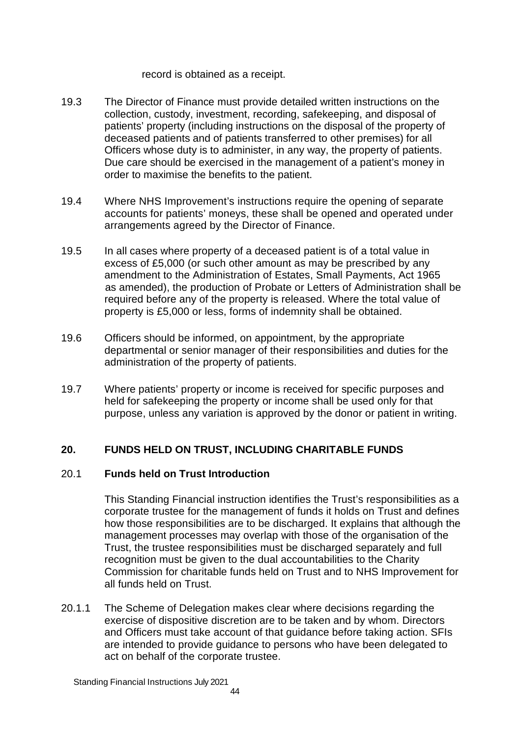#### record is obtained as a receipt.

- 19.3 The Director of Finance must provide detailed written instructions on the collection, custody, investment, recording, safekeeping, and disposal of patients' property (including instructions on the disposal of the property of deceased patients and of patients transferred to other premises) for all Officers whose duty is to administer, in any way, the property of patients. Due care should be exercised in the management of a patient's money in order to maximise the benefits to the patient.
- 19.4 Where NHS Improvement's instructions require the opening of separate accounts for patients' moneys, these shall be opened and operated under arrangements agreed by the Director of Finance.
- 19.5 In all cases where property of a deceased patient is of a total value in excess of £5,000 (or such other amount as may be prescribed by any amendment to the Administration of Estates, Small Payments, Act 1965 as amended), the production of Probate or Letters of Administration shall be required before any of the property is released. Where the total value of property is £5,000 or less, forms of indemnity shall be obtained.
- 19.6 Officers should be informed, on appointment, by the appropriate departmental or senior manager of their responsibilities and duties for the administration of the property of patients.
- 19.7 Where patients' property or income is received for specific purposes and held for safekeeping the property or income shall be used only for that purpose, unless any variation is approved by the donor or patient in writing.

# **20. FUNDS HELD ON TRUST, INCLUDING CHARITABLE FUNDS**

# 20.1 **Funds held on Trust Introduction**

This Standing Financial instruction identifies the Trust's responsibilities as a corporate trustee for the management of funds it holds on Trust and defines how those responsibilities are to be discharged. It explains that although the management processes may overlap with those of the organisation of the Trust, the trustee responsibilities must be discharged separately and full recognition must be given to the dual accountabilities to the Charity Commission for charitable funds held on Trust and to NHS Improvement for all funds held on Trust.

20.1.1 The Scheme of Delegation makes clear where decisions regarding the exercise of dispositive discretion are to be taken and by whom. Directors and Officers must take account of that guidance before taking action. SFIs are intended to provide guidance to persons who have been delegated to act on behalf of the corporate trustee.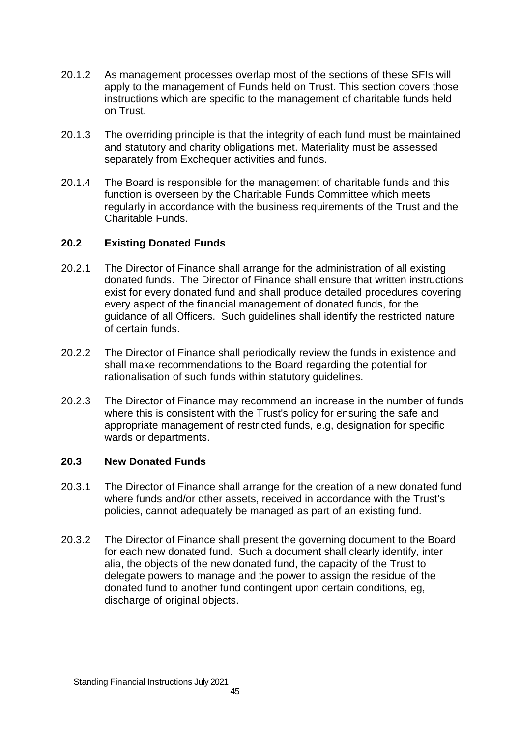- 20.1.2 As management processes overlap most of the sections of these SFIs will apply to the management of Funds held on Trust. This section covers those instructions which are specific to the management of charitable funds held on Trust.
- 20.1.3 The overriding principle is that the integrity of each fund must be maintained and statutory and charity obligations met. Materiality must be assessed separately from Exchequer activities and funds.
- 20.1.4 The Board is responsible for the management of charitable funds and this function is overseen by the Charitable Funds Committee which meets regularly in accordance with the business requirements of the Trust and the Charitable Funds.

# **20.2 Existing Donated Funds**

- 20.2.1 The Director of Finance shall arrange for the administration of all existing donated funds. The Director of Finance shall ensure that written instructions exist for every donated fund and shall produce detailed procedures covering every aspect of the financial management of donated funds, for the guidance of all Officers. Such guidelines shall identify the restricted nature of certain funds.
- 20.2.2 The Director of Finance shall periodically review the funds in existence and shall make recommendations to the Board regarding the potential for rationalisation of such funds within statutory guidelines.
- 20.2.3 The Director of Finance may recommend an increase in the number of funds where this is consistent with the Trust's policy for ensuring the safe and appropriate management of restricted funds, e.g, designation for specific wards or departments.

# **20.3 New Donated Funds**

- 20.3.1 The Director of Finance shall arrange for the creation of a new donated fund where funds and/or other assets, received in accordance with the Trust's policies, cannot adequately be managed as part of an existing fund.
- 20.3.2 The Director of Finance shall present the governing document to the Board for each new donated fund. Such a document shall clearly identify, inter alia, the objects of the new donated fund, the capacity of the Trust to delegate powers to manage and the power to assign the residue of the donated fund to another fund contingent upon certain conditions, eg, discharge of original objects.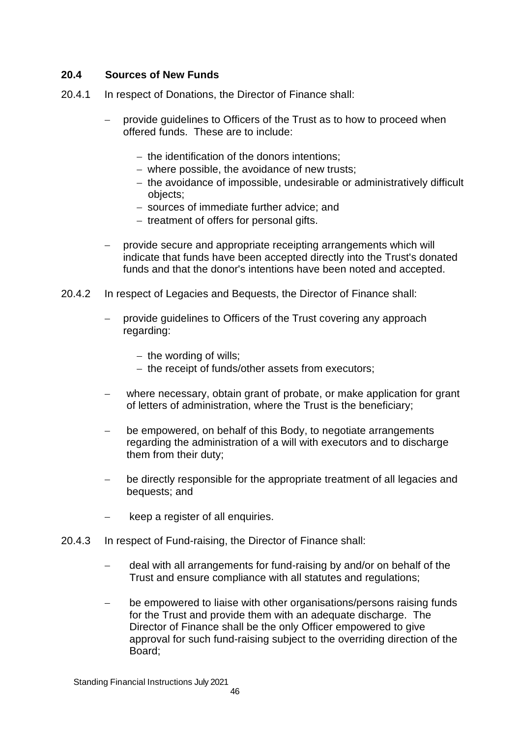# **20.4 Sources of New Funds**

- 20.4.1 In respect of Donations, the Director of Finance shall:
	- provide guidelines to Officers of the Trust as to how to proceed when offered funds. These are to include:
		- $-$  the identification of the donors intentions;
		- where possible, the avoidance of new trusts:
		- the avoidance of impossible, undesirable or administratively difficult objects;
		- sources of immediate further advice; and
		- $-$  treatment of offers for personal gifts.
	- $-$  provide secure and appropriate receipting arrangements which will indicate that funds have been accepted directly into the Trust's donated funds and that the donor's intentions have been noted and accepted.
- 20.4.2 In respect of Legacies and Bequests, the Director of Finance shall:
	- provide guidelines to Officers of the Trust covering any approach regarding:
		- $-$  the wording of wills;
		- $-$  the receipt of funds/other assets from executors;
	- where necessary, obtain grant of probate, or make application for grant of letters of administration, where the Trust is the beneficiary;
	- be empowered, on behalf of this Body, to negotiate arrangements regarding the administration of a will with executors and to discharge them from their duty;
	- be directly responsible for the appropriate treatment of all legacies and bequests; and
	- keep a register of all enquiries.
- 20.4.3 In respect of Fund-raising, the Director of Finance shall:
	- deal with all arrangements for fund-raising by and/or on behalf of the Trust and ensure compliance with all statutes and regulations;
	- be empowered to liaise with other organisations/persons raising funds for the Trust and provide them with an adequate discharge. The Director of Finance shall be the only Officer empowered to give approval for such fund-raising subject to the overriding direction of the Board;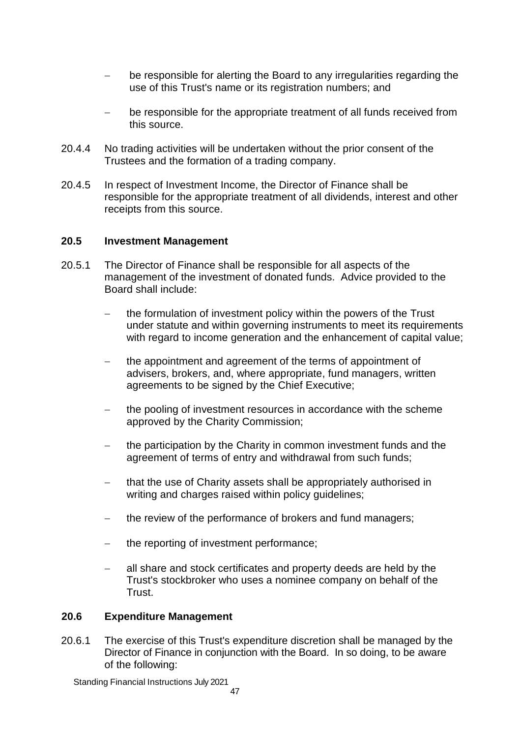- be responsible for alerting the Board to any irregularities regarding the use of this Trust's name or its registration numbers; and
- be responsible for the appropriate treatment of all funds received from this source.
- 20.4.4 No trading activities will be undertaken without the prior consent of the Trustees and the formation of a trading company.
- 20.4.5 In respect of Investment Income, the Director of Finance shall be responsible for the appropriate treatment of all dividends, interest and other receipts from this source.

#### **20.5 Investment Management**

- 20.5.1 The Director of Finance shall be responsible for all aspects of the management of the investment of donated funds. Advice provided to the Board shall include:
	- the formulation of investment policy within the powers of the Trust under statute and within governing instruments to meet its requirements with regard to income generation and the enhancement of capital value;
	- the appointment and agreement of the terms of appointment of advisers, brokers, and, where appropriate, fund managers, written agreements to be signed by the Chief Executive;
	- the pooling of investment resources in accordance with the scheme approved by the Charity Commission;
	- the participation by the Charity in common investment funds and the agreement of terms of entry and withdrawal from such funds;
	- that the use of Charity assets shall be appropriately authorised in writing and charges raised within policy guidelines;
	- the review of the performance of brokers and fund managers;
	- $\mathsf{t}$  the reporting of investment performance;
	- all share and stock certificates and property deeds are held by the Trust's stockbroker who uses a nominee company on behalf of the Trust.

#### **20.6 Expenditure Management**

20.6.1 The exercise of this Trust's expenditure discretion shall be managed by the Director of Finance in conjunction with the Board. In so doing, to be aware of the following: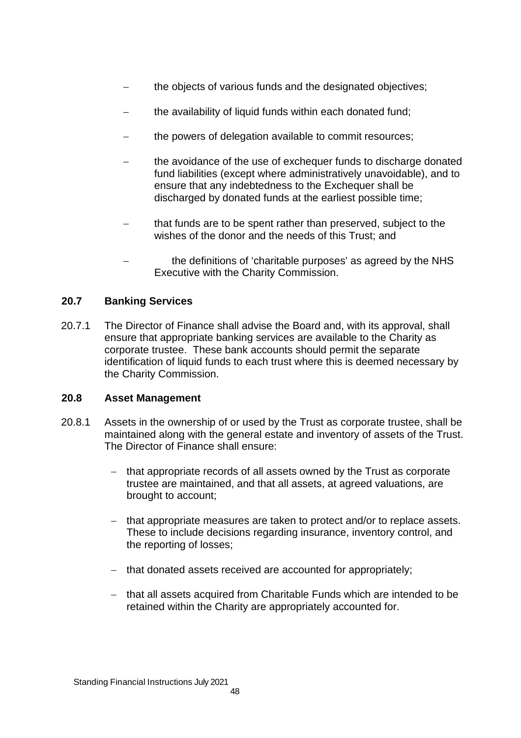- the objects of various funds and the designated objectives;
- the availability of liquid funds within each donated fund:
- the powers of delegation available to commit resources;
- the avoidance of the use of exchequer funds to discharge donated fund liabilities (except where administratively unavoidable), and to ensure that any indebtedness to the Exchequer shall be discharged by donated funds at the earliest possible time;
- that funds are to be spent rather than preserved, subject to the wishes of the donor and the needs of this Trust; and
- the definitions of 'charitable purposes' as agreed by the NHS Executive with the Charity Commission.

# **20.7 Banking Services**

20.7.1 The Director of Finance shall advise the Board and, with its approval, shall ensure that appropriate banking services are available to the Charity as corporate trustee. These bank accounts should permit the separate identification of liquid funds to each trust where this is deemed necessary by the Charity Commission.

# **20.8 Asset Management**

- 20.8.1 Assets in the ownership of or used by the Trust as corporate trustee, shall be maintained along with the general estate and inventory of assets of the Trust. The Director of Finance shall ensure:
	- that appropriate records of all assets owned by the Trust as corporate trustee are maintained, and that all assets, at agreed valuations, are brought to account;
	- that appropriate measures are taken to protect and/or to replace assets. These to include decisions regarding insurance, inventory control, and the reporting of losses;
	- that donated assets received are accounted for appropriately;
	- that all assets acquired from Charitable Funds which are intended to be retained within the Charity are appropriately accounted for.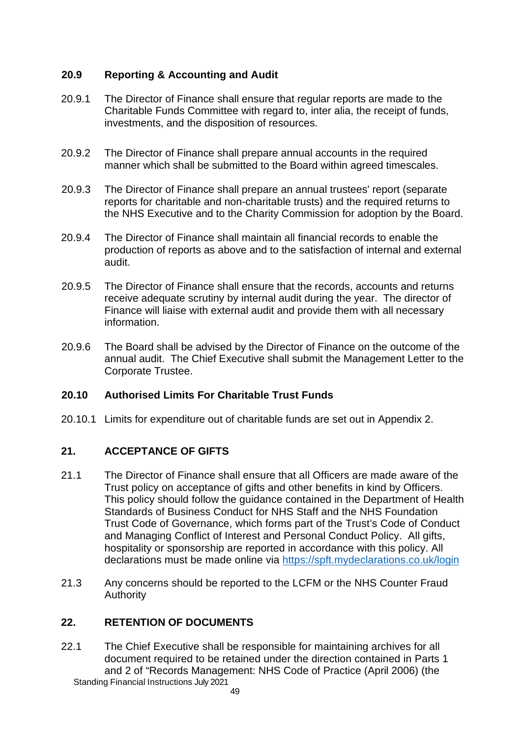# **20.9 Reporting & Accounting and Audit**

- 20.9.1 The Director of Finance shall ensure that regular reports are made to the Charitable Funds Committee with regard to, inter alia, the receipt of funds, investments, and the disposition of resources.
- 20.9.2 The Director of Finance shall prepare annual accounts in the required manner which shall be submitted to the Board within agreed timescales.
- 20.9.3 The Director of Finance shall prepare an annual trustees' report (separate reports for charitable and non-charitable trusts) and the required returns to the NHS Executive and to the Charity Commission for adoption by the Board.
- 20.9.4 The Director of Finance shall maintain all financial records to enable the production of reports as above and to the satisfaction of internal and external audit.
- 20.9.5 The Director of Finance shall ensure that the records, accounts and returns receive adequate scrutiny by internal audit during the year. The director of Finance will liaise with external audit and provide them with all necessary information.
- 20.9.6 The Board shall be advised by the Director of Finance on the outcome of the annual audit. The Chief Executive shall submit the Management Letter to the Corporate Trustee.

# **20.10 Authorised Limits For Charitable Trust Funds**

20.10.1 Limits for expenditure out of charitable funds are set out in Appendix 2.

# **21. ACCEPTANCE OF GIFTS**

- 21.1 The Director of Finance shall ensure that all Officers are made aware of the Trust policy on acceptance of gifts and other benefits in kind by Officers. This policy should follow the guidance contained in the Department of Health Standards of Business Conduct for NHS Staff and the NHS Foundation Trust Code of Governance, which forms part of the Trust's Code of Conduct and Managing Conflict of Interest and Personal Conduct Policy. All gifts, hospitality or sponsorship are reported in accordance with this policy. All declarations must be made online via https://spft.mydeclarations.co.uk/login
- 21.3 Any concerns should be reported to the LCFM or the NHS Counter Fraud Authority

#### **22. RETENTION OF DOCUMENTS**

Standing Financial Instructions July 2021 22.1 The Chief Executive shall be responsible for maintaining archives for all document required to be retained under the direction contained in Parts 1 and 2 of "Records Management: NHS Code of Practice (April 2006) (the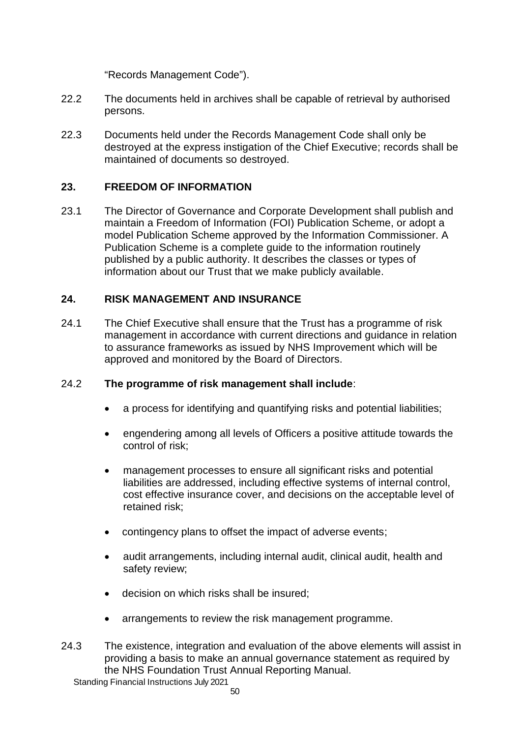"Records Management Code").

- 22.2 The documents held in archives shall be capable of retrieval by authorised persons.
- 22.3 Documents held under the Records Management Code shall only be destroyed at the express instigation of the Chief Executive; records shall be maintained of documents so destroyed.

# **23. FREEDOM OF INFORMATION**

23.1 The Director of Governance and Corporate Development shall publish and maintain a Freedom of Information (FOI) Publication Scheme, or adopt a model Publication Scheme approved by the Information Commissioner. A Publication Scheme is a complete guide to the information routinely published by a public authority. It describes the classes or types of information about our Trust that we make publicly available.

# **24. RISK MANAGEMENT AND INSURANCE**

24.1 The Chief Executive shall ensure that the Trust has a programme of risk management in accordance with current directions and guidance in relation to assurance frameworks as issued by NHS Improvement which will be approved and monitored by the Board of Directors.

# 24.2 **The programme of risk management shall include**:

- a process for identifying and quantifying risks and potential liabilities;
- engendering among all levels of Officers a positive attitude towards the control of risk;
- management processes to ensure all significant risks and potential liabilities are addressed, including effective systems of internal control, cost effective insurance cover, and decisions on the acceptable level of retained risk;
- contingency plans to offset the impact of adverse events;
- audit arrangements, including internal audit, clinical audit, health and safety review;
- decision on which risks shall be insured;
- arrangements to review the risk management programme.
- 24.3 The existence, integration and evaluation of the above elements will assist in providing a basis to make an annual governance statement as required by the NHS Foundation Trust Annual Reporting Manual.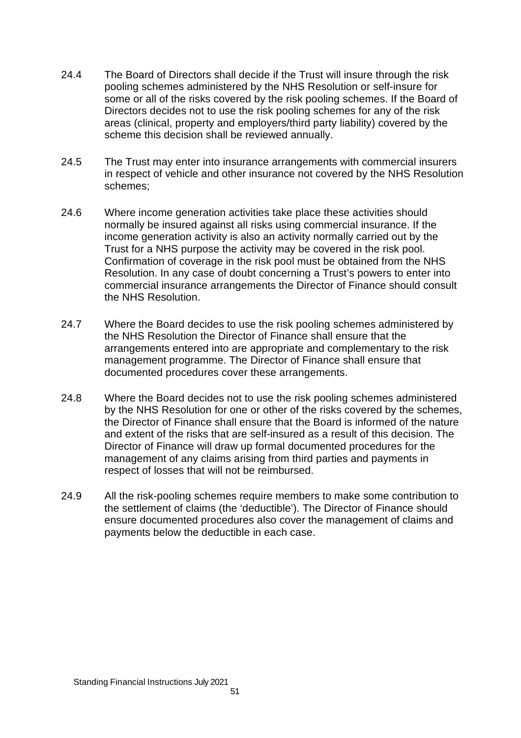- 24.4 The Board of Directors shall decide if the Trust will insure through the risk pooling schemes administered by the NHS Resolution or self-insure for some or all of the risks covered by the risk pooling schemes. If the Board of Directors decides not to use the risk pooling schemes for any of the risk areas (clinical, property and employers/third party liability) covered by the scheme this decision shall be reviewed annually.
- 24.5 The Trust may enter into insurance arrangements with commercial insurers in respect of vehicle and other insurance not covered by the NHS Resolution schemes;
- 24.6 Where income generation activities take place these activities should normally be insured against all risks using commercial insurance. If the income generation activity is also an activity normally carried out by the Trust for a NHS purpose the activity may be covered in the risk pool. Confirmation of coverage in the risk pool must be obtained from the NHS Resolution. In any case of doubt concerning a Trust's powers to enter into commercial insurance arrangements the Director of Finance should consult the NHS Resolution.
- 24.7 Where the Board decides to use the risk pooling schemes administered by the NHS Resolution the Director of Finance shall ensure that the arrangements entered into are appropriate and complementary to the risk management programme. The Director of Finance shall ensure that documented procedures cover these arrangements.
- 24.8 Where the Board decides not to use the risk pooling schemes administered by the NHS Resolution for one or other of the risks covered by the schemes, the Director of Finance shall ensure that the Board is informed of the nature and extent of the risks that are self-insured as a result of this decision. The Director of Finance will draw up formal documented procedures for the management of any claims arising from third parties and payments in respect of losses that will not be reimbursed.
- 24.9 All the risk-pooling schemes require members to make some contribution to the settlement of claims (the 'deductible'). The Director of Finance should ensure documented procedures also cover the management of claims and payments below the deductible in each case.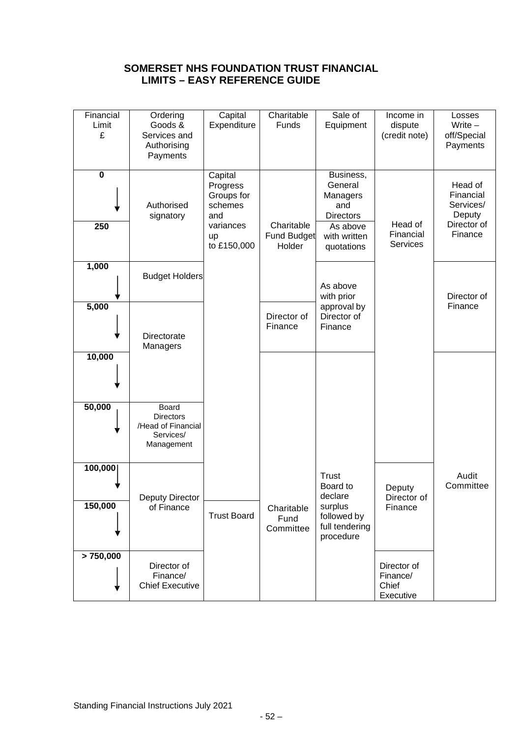# **SOMERSET NHS FOUNDATION TRUST FINANCIAL LIMITS – EASY REFERENCE GUIDE**

| Financial<br>Limit<br>£ | Ordering<br>Goods &<br>Services and<br>Authorising<br>Payments             | Capital<br>Expenditure                                                                | Charitable<br>Funds                        | Sale of<br>Equipment                                                                                  | Income in<br>dispute<br>(credit note)         | Losses<br>Write $-$<br>off/Special<br>Payments                        |
|-------------------------|----------------------------------------------------------------------------|---------------------------------------------------------------------------------------|--------------------------------------------|-------------------------------------------------------------------------------------------------------|-----------------------------------------------|-----------------------------------------------------------------------|
| $\mathbf 0$<br>250      | Authorised<br>signatory                                                    | Capital<br>Progress<br>Groups for<br>schemes<br>and<br>variances<br>up<br>to £150,000 | Charitable<br><b>Fund Budget</b><br>Holder | Business,<br>General<br>Managers<br>and<br><b>Directors</b><br>As above<br>with written<br>quotations | Head of<br>Financial<br><b>Services</b>       | Head of<br>Financial<br>Services/<br>Deputy<br>Director of<br>Finance |
| 1,000                   | <b>Budget Holders</b>                                                      |                                                                                       |                                            | As above<br>with prior                                                                                |                                               | Director of                                                           |
| 5,000                   | Directorate<br>Managers                                                    |                                                                                       | Director of<br>Finance                     | approval by<br>Director of<br>Finance                                                                 |                                               | Finance                                                               |
| 10,000                  |                                                                            |                                                                                       |                                            |                                                                                                       |                                               |                                                                       |
| 50,000                  | Board<br><b>Directors</b><br>/Head of Financial<br>Services/<br>Management |                                                                                       |                                            |                                                                                                       |                                               |                                                                       |
| 100,000<br>150,000      | Deputy Director<br>of Finance                                              | <b>Trust Board</b>                                                                    | Charitable<br>Fund<br>Committee            | <b>Trust</b><br>Board to<br>declare<br>surplus<br>followed by<br>full tendering<br>procedure          | Deputy<br>Director of<br>Finance              | Audit<br>Committee                                                    |
| > 750,000               | Director of<br>Finance/<br><b>Chief Executive</b>                          |                                                                                       |                                            |                                                                                                       | Director of<br>Finance/<br>Chief<br>Executive |                                                                       |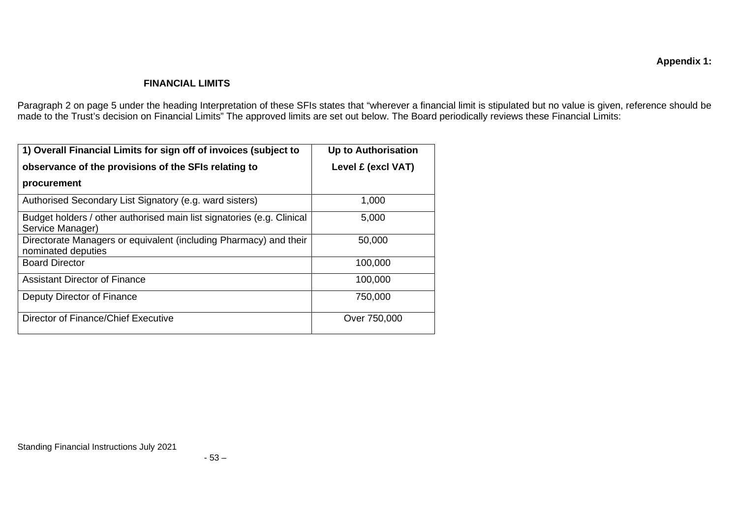#### **FINANCIAL LIMITS**

Paragraph 2 on page 5 under the heading Interpretation of these SFIs states that "wherever a financial limit is stipulated but no value is given, reference should be made to the Trust's decision on Financial Limits" The approved limits are set out below. The Board periodically reviews these Financial Limits:

| 1) Overall Financial Limits for sign off of invoices (subject to                           | <b>Up to Authorisation</b> |  |  |
|--------------------------------------------------------------------------------------------|----------------------------|--|--|
| observance of the provisions of the SFIs relating to                                       | Level £ (excl VAT)         |  |  |
| procurement                                                                                |                            |  |  |
| Authorised Secondary List Signatory (e.g. ward sisters)                                    | 1,000                      |  |  |
| Budget holders / other authorised main list signatories (e.g. Clinical<br>Service Manager) | 5,000                      |  |  |
| Directorate Managers or equivalent (including Pharmacy) and their<br>nominated deputies    | 50,000                     |  |  |
| <b>Board Director</b>                                                                      | 100,000                    |  |  |
| <b>Assistant Director of Finance</b>                                                       | 100,000                    |  |  |
| Deputy Director of Finance                                                                 | 750,000                    |  |  |
| Director of Finance/Chief Executive                                                        | Over 750,000               |  |  |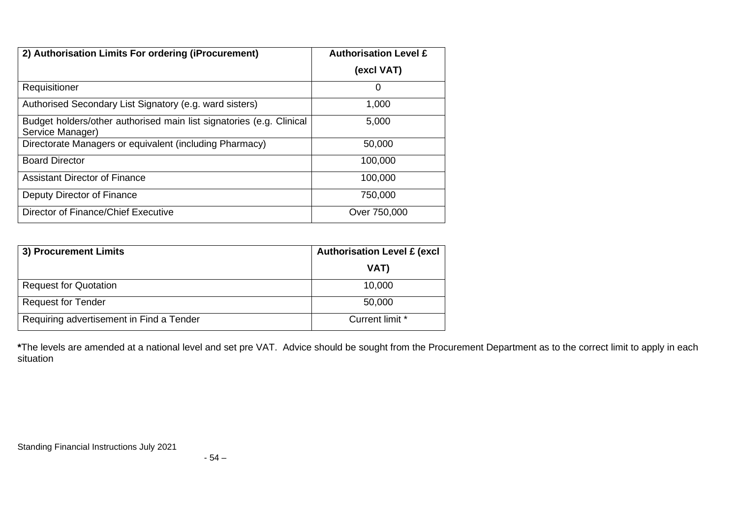| 2) Authorisation Limits For ordering (iProcurement)                                      | <b>Authorisation Level £</b> |
|------------------------------------------------------------------------------------------|------------------------------|
|                                                                                          | (excl VAT)                   |
| Requisitioner                                                                            | 0                            |
| Authorised Secondary List Signatory (e.g. ward sisters)                                  | 1,000                        |
| Budget holders/other authorised main list signatories (e.g. Clinical<br>Service Manager) | 5,000                        |
| Directorate Managers or equivalent (including Pharmacy)                                  | 50,000                       |
| <b>Board Director</b>                                                                    | 100,000                      |
| <b>Assistant Director of Finance</b>                                                     | 100,000                      |
| Deputy Director of Finance                                                               | 750,000                      |
| Director of Finance/Chief Executive                                                      | Over 750,000                 |

| 3) Procurement Limits                    | <b>Authorisation Level £ (excl</b> |  |
|------------------------------------------|------------------------------------|--|
|                                          | VAT)                               |  |
| <b>Request for Quotation</b>             | 10,000                             |  |
| <b>Request for Tender</b>                | 50,000                             |  |
| Requiring advertisement in Find a Tender | Current limit *                    |  |

**\***The levels are amended at a national level and set pre VAT. Advice should be sought from the Procurement Department as to the correct limit to apply in each situation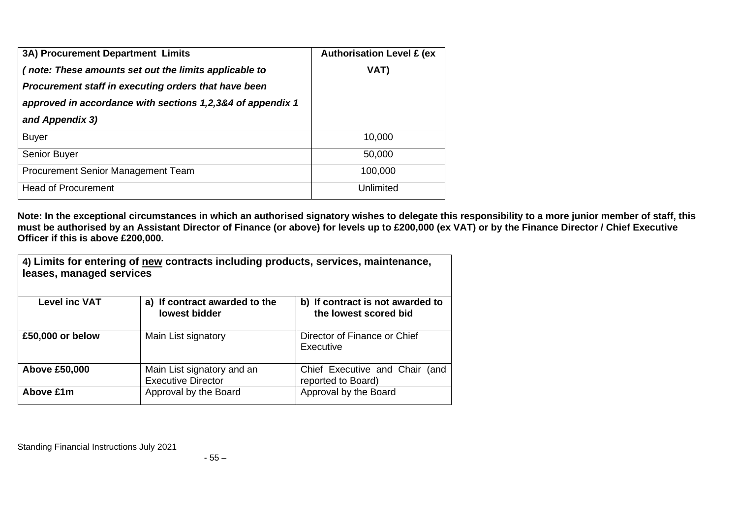| 3A) Procurement Department Limits                          | <b>Authorisation Level £ (ex</b> |
|------------------------------------------------------------|----------------------------------|
| (note: These amounts set out the limits applicable to      | VAT)                             |
| Procurement staff in executing orders that have been       |                                  |
| approved in accordance with sections 1,2,3&4 of appendix 1 |                                  |
| and Appendix 3)                                            |                                  |
| <b>Buyer</b>                                               | 10,000                           |
| Senior Buyer                                               | 50,000                           |
| Procurement Senior Management Team                         | 100,000                          |
| <b>Head of Procurement</b>                                 | Unlimited                        |

**Note: In the exceptional circumstances in which an authorised signatory wishes to delegate this responsibility to a more junior member of staff, this must be authorised by an Assistant Director of Finance (or above) for levels up to £200,000 (ex VAT) or by the Finance Director / Chief Executive Officer if this is above £200,000.**

| 4) Limits for entering of new contracts including products, services, maintenance,<br>leases, managed services |                                                         |                                                           |  |
|----------------------------------------------------------------------------------------------------------------|---------------------------------------------------------|-----------------------------------------------------------|--|
| <b>Level inc VAT</b>                                                                                           | a) If contract awarded to the<br>lowest bidder          | b) If contract is not awarded to<br>the lowest scored bid |  |
| £50,000 or below                                                                                               | Main List signatory                                     | Director of Finance or Chief<br>Executive                 |  |
| <b>Above £50,000</b>                                                                                           | Main List signatory and an<br><b>Executive Director</b> | Chief Executive and Chair<br>(and<br>reported to Board)   |  |
| Above £1m                                                                                                      | Approval by the Board                                   | Approval by the Board                                     |  |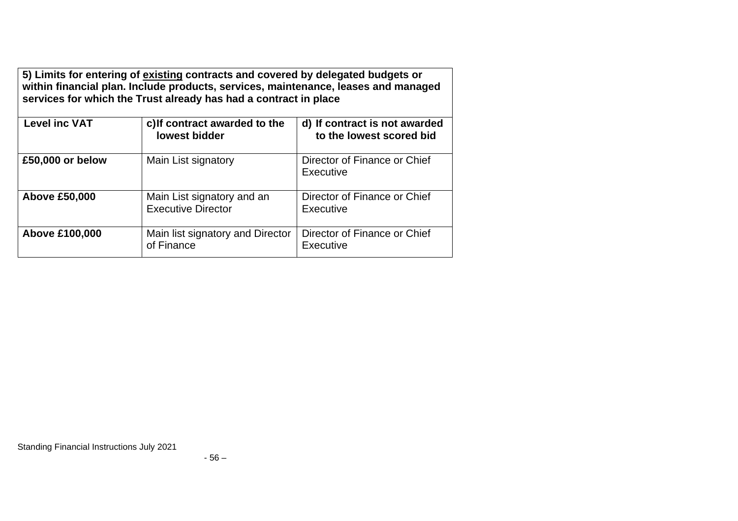| 5) Limits for entering of existing contracts and covered by delegated budgets or<br>within financial plan. Include products, services, maintenance, leases and managed<br>services for which the Trust already has had a contract in place |                                                         |                                                           |  |
|--------------------------------------------------------------------------------------------------------------------------------------------------------------------------------------------------------------------------------------------|---------------------------------------------------------|-----------------------------------------------------------|--|
| <b>Level inc VAT</b>                                                                                                                                                                                                                       | c) If contract awarded to the<br>lowest bidder          | d) If contract is not awarded<br>to the lowest scored bid |  |
| £50,000 or below                                                                                                                                                                                                                           | Main List signatory                                     | Director of Finance or Chief<br>Executive                 |  |
| <b>Above £50,000</b>                                                                                                                                                                                                                       | Main List signatory and an<br><b>Executive Director</b> | Director of Finance or Chief<br>Executive                 |  |
| <b>Above £100,000</b>                                                                                                                                                                                                                      | Main list signatory and Director<br>of Finance          | Director of Finance or Chief<br><b>Executive</b>          |  |